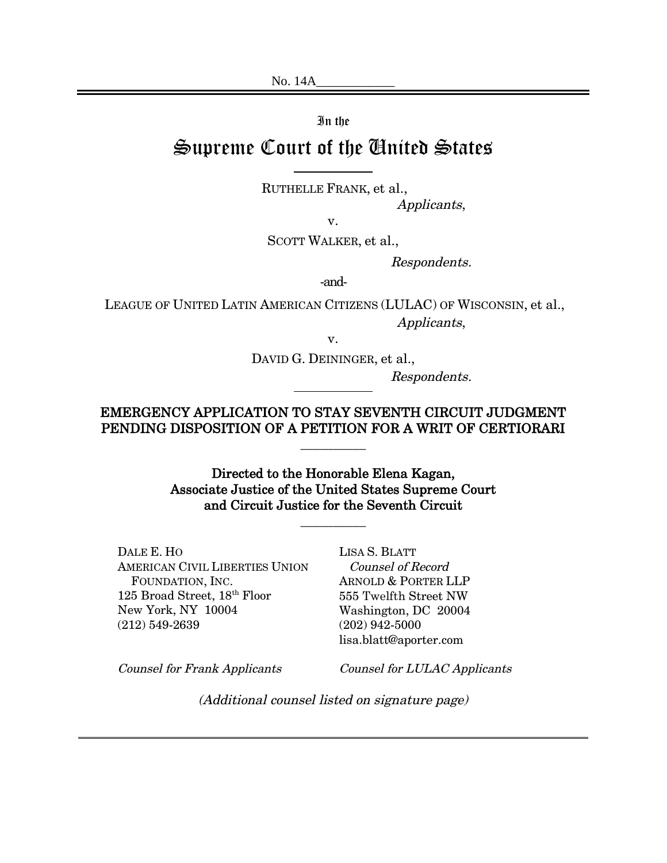No. 14A\_\_\_\_\_\_\_\_\_\_\_\_

In the

# Supreme Court of the United States

RUTHELLE FRANK, et al.,

Applicants,

v.

SCOTT WALKER, et al.,

Respondents.

-and-

LEAGUE OF UNITED LATIN AMERICAN CITIZENS (LULAC) OF WISCONSIN, et al., Applicants,

v.

DAVID G. DEININGER, et al.,

Respondents.

EMERGENCY APPLICATION TO STAY SEVENTH CIRCUIT JUDGMENT PENDING DISPOSITION OF A PETITION FOR A WRIT OF CERTIORARI

\_\_\_\_\_\_\_\_\_\_

Directed to the Honorable Elena Kagan, Associate Justice of the United States Supreme Court and Circuit Justice for the Seventh Circuit

\_\_\_\_\_\_\_\_\_\_

DALE E. HO AMERICAN CIVIL LIBERTIES UNION FOUNDATION, INC. 125 Broad Street, 18<sup>th</sup> Floor New York, NY 10004 (212) 549-2639

LISA S. BLATT Counsel of Record ARNOLD & PORTER LLP 555 Twelfth Street NW Washington, DC 20004 (202) 942-5000 lisa.blatt@aporter.com

Counsel for Frank Applicants

Counsel for LULAC Applicants

(Additional counsel listed on signature page)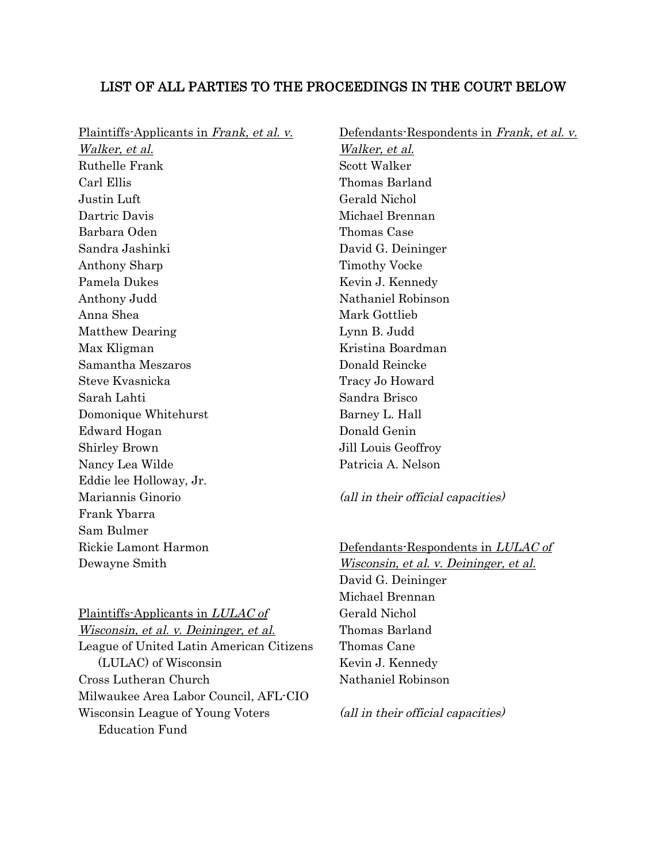### LIST OF ALL PARTIES TO THE PROCEEDINGS IN THE COURT BELOW

Plaintiffs-Applicants in Frank, et al. v.

Walker, et al. Ruthelle Frank Carl Ellis Justin Luft Dartric Davis Barbara Oden Sandra Jashinki Anthony Sharp Pamela Dukes Anthony Judd Anna Shea Matthew Dearing Max Kligman Samantha Meszaros Steve Kvasnicka Sarah Lahti Domonique Whitehurst Edward Hogan Shirley Brown Nancy Lea Wilde Eddie lee Holloway, Jr. Mariannis Ginorio Frank Ybarra Sam Bulmer Rickie Lamont Harmon Dewayne Smith

Defendants-Respondents in Frank, et al. v. Walker, et al. Scott Walker Thomas Barland Gerald Nichol Michael Brennan Thomas Case David G. Deininger Timothy Vocke Kevin J. Kennedy Nathaniel Robinson Mark Gottlieb Lynn B. Judd Kristina Boardman Donald Reincke Tracy Jo Howard Sandra Brisco Barney L. Hall Donald Genin Jill Louis Geoffroy Patricia A. Nelson

(all in their official capacities)

Defendants-Respondents in LULAC of Wisconsin, et al. v. Deininger, et al. David G. Deininger Michael Brennan Gerald Nichol Thomas Barland Thomas Cane Kevin J. Kennedy Nathaniel Robinson

# Plaintiffs-Applicants in LULAC of

Wisconsin, et al. v. Deininger, et al. League of United Latin American Citizens (LULAC) of Wisconsin Cross Lutheran Church Milwaukee Area Labor Council, AFL-CIO Wisconsin League of Young Voters Education Fund

(all in their official capacities)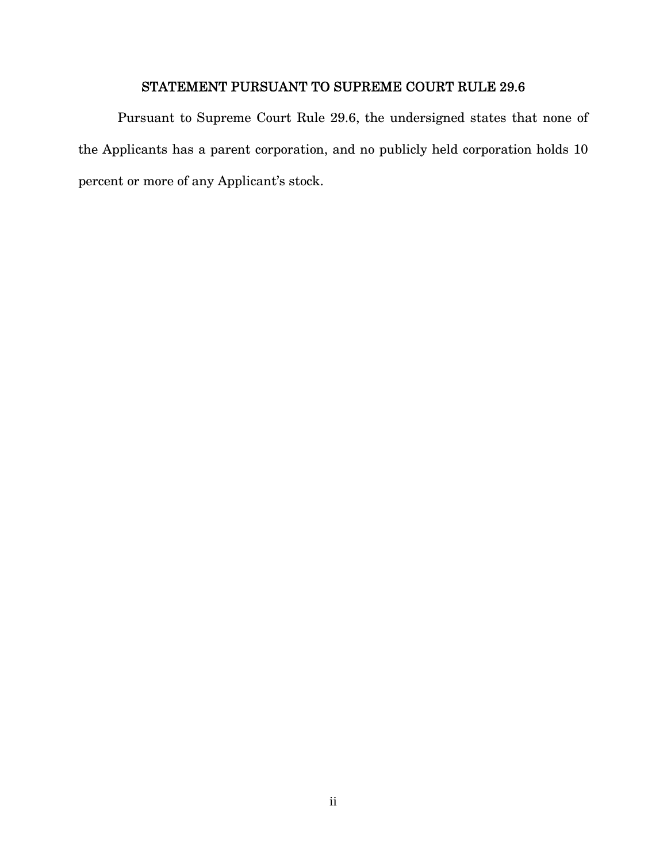### STATEMENT PURSUANT TO SUPREME COURT RULE 29.6

Pursuant to Supreme Court Rule 29.6, the undersigned states that none of the Applicants has a parent corporation, and no publicly held corporation holds 10 percent or more of any Applicant's stock.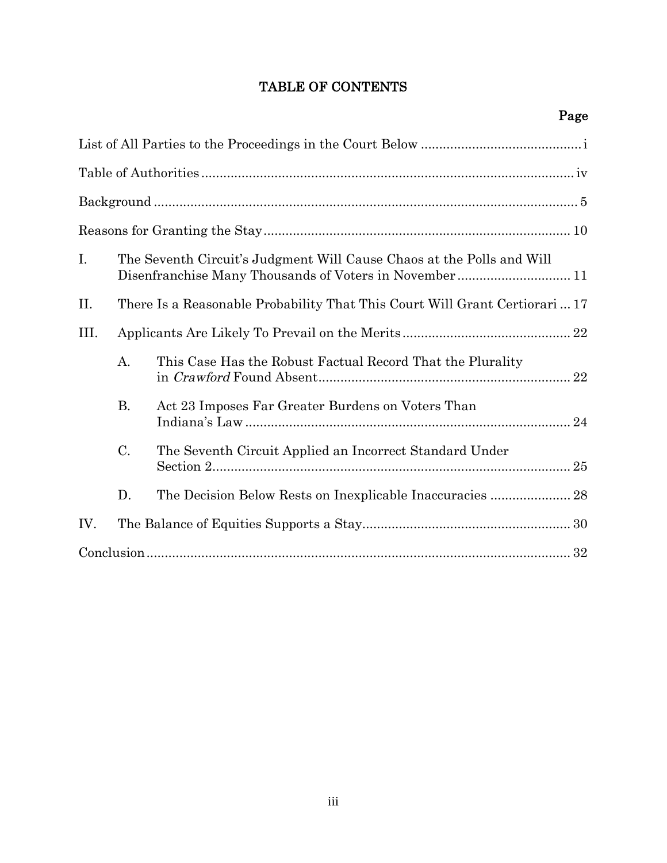## TABLE OF CONTENTS

| $\mathbf{I}$ . |           | The Seventh Circuit's Judgment Will Cause Chaos at the Polls and Will       |
|----------------|-----------|-----------------------------------------------------------------------------|
| II.            |           | There Is a Reasonable Probability That This Court Will Grant Certiorari  17 |
| Ш.             |           |                                                                             |
|                | A.        | This Case Has the Robust Factual Record That the Plurality<br>22            |
|                | <b>B.</b> | Act 23 Imposes Far Greater Burdens on Voters Than                           |
|                | $C$ .     | The Seventh Circuit Applied an Incorrect Standard Under                     |
|                | D.        |                                                                             |
| IV.            |           |                                                                             |
|                |           |                                                                             |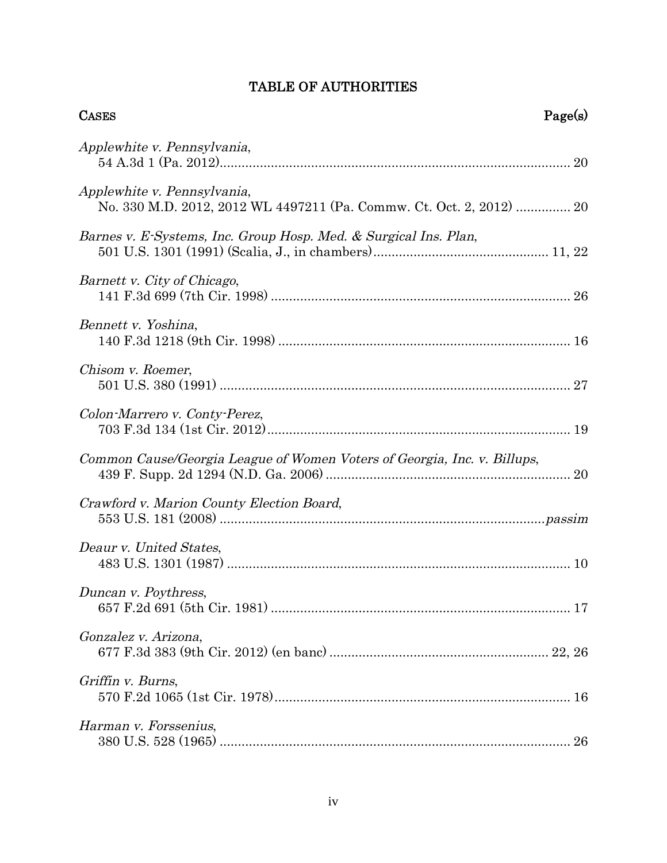# TABLE OF AUTHORITIES

| <b>CASES</b>                                                                                        | Page(s) |
|-----------------------------------------------------------------------------------------------------|---------|
| Applewhite v. Pennsylvania,                                                                         |         |
| Applewhite v. Pennsylvania,<br>No. 330 M.D. 2012, 2012 WL 4497211 (Pa. Commw. Ct. Oct. 2, 2012)  20 |         |
| Barnes v. E-Systems, Inc. Group Hosp. Med. & Surgical Ins. Plan,                                    |         |
| Barnett v. City of Chicago,                                                                         |         |
| Bennett v. Yoshina,                                                                                 |         |
| Chisom v. Roemer,                                                                                   |         |
| Colon-Marrero v. Conty-Perez,                                                                       |         |
| Common Cause/Georgia League of Women Voters of Georgia, Inc. v. Billups,                            |         |
| Crawford v. Marion County Election Board,                                                           |         |
| Deaur v. United States,                                                                             |         |
| Duncan v. Poythress,                                                                                |         |
| Gonzalez v. Arizona,                                                                                |         |
| Griffin v. Burns,                                                                                   |         |
| Harman v. Forssenius,                                                                               |         |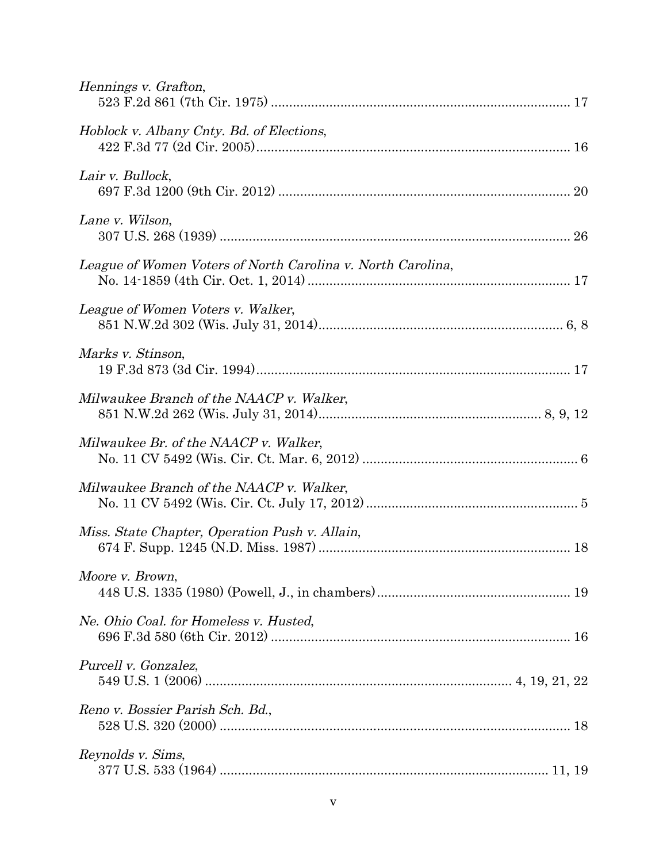| Hennings v. Grafton,                                        |
|-------------------------------------------------------------|
| Hoblock v. Albany Cnty. Bd. of Elections,                   |
| Lair v. Bullock,                                            |
| Lane v. Wilson,                                             |
| League of Women Voters of North Carolina v. North Carolina, |
| League of Women Voters v. Walker,                           |
| Marks v. Stinson,                                           |
| Milwaukee Branch of the NAACP v. Walker,                    |
| Milwaukee Br. of the NAACP v. Walker,                       |
| Milwaukee Branch of the NAACP v. Walker,                    |
| Miss. State Chapter, Operation Push v. Allain,              |
| Moore v. Brown,                                             |
| Ne. Ohio Coal. for Homeless v. Husted,                      |
| Purcell v. Gonzalez,                                        |
| Reno v. Bossier Parish Sch. Bd.,                            |
| Reynolds v. Sims,                                           |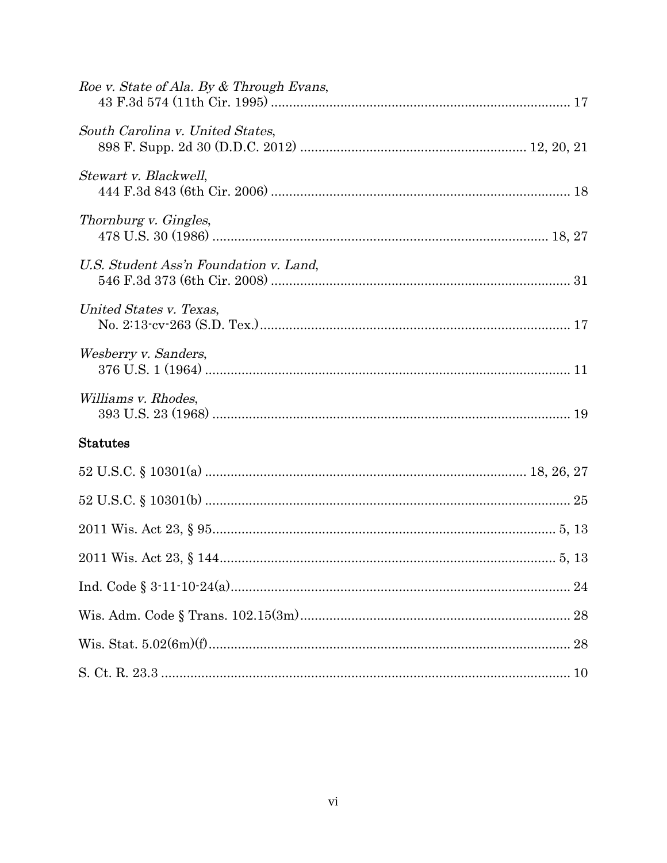| Roe v. State of Ala. By & Through Evans, |
|------------------------------------------|
| South Carolina v. United States,         |
| Stewart v. Blackwell,                    |
| Thornburg v. Gingles,                    |
| U.S. Student Ass'n Foundation v. Land,   |
| United States v. Texas,                  |
| Wesberry v. Sanders,                     |
| Williams v. Rhodes,                      |
| <b>Statutes</b>                          |
|                                          |
|                                          |
|                                          |
|                                          |
|                                          |
|                                          |
|                                          |
|                                          |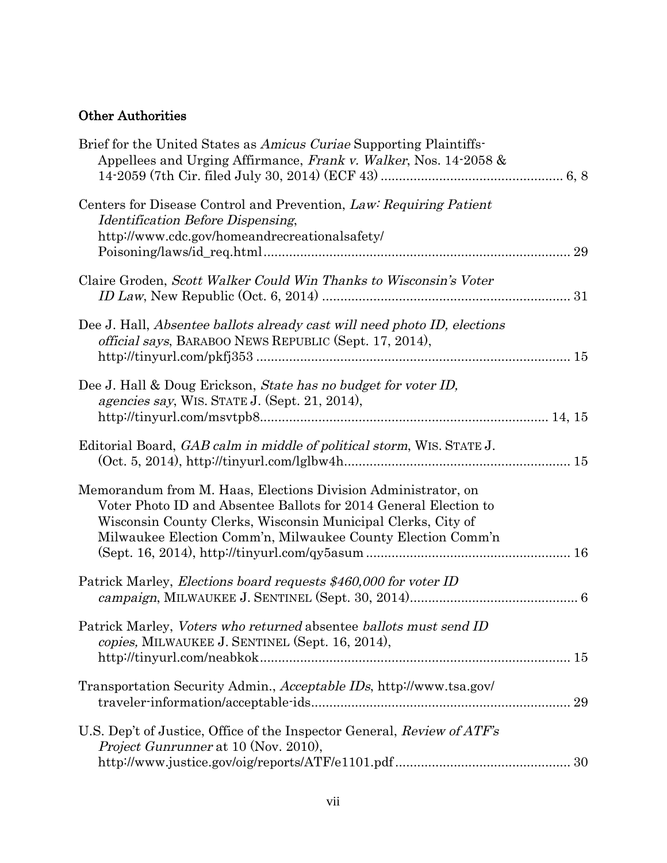# Other Authorities

| Brief for the United States as Amicus Curiae Supporting Plaintiffs-<br>Appellees and Urging Affirmance, Frank v. Walker, Nos. 14-2058 &                                                                                                                          |    |
|------------------------------------------------------------------------------------------------------------------------------------------------------------------------------------------------------------------------------------------------------------------|----|
| Centers for Disease Control and Prevention, Law: Requiring Patient<br><i><b>Identification Before Dispensing,</b></i><br>http://www.cdc.gov/homeandrecreationalsafety/                                                                                           | 29 |
| Claire Groden, Scott Walker Could Win Thanks to Wisconsin's Voter                                                                                                                                                                                                |    |
| Dee J. Hall, Absentee ballots already cast will need photo ID, elections<br><i>official says</i> , BARABOO NEWS REPUBLIC (Sept. 17, 2014),                                                                                                                       |    |
| Dee J. Hall & Doug Erickson, State has no budget for voter ID,<br>agencies say, WIS. STATE J. (Sept. 21, 2014),                                                                                                                                                  |    |
| Editorial Board, GAB calm in middle of political storm, WIS. STATE J.                                                                                                                                                                                            |    |
| Memorandum from M. Haas, Elections Division Administrator, on<br>Voter Photo ID and Absentee Ballots for 2014 General Election to<br>Wisconsin County Clerks, Wisconsin Municipal Clerks, City of<br>Milwaukee Election Comm'n, Milwaukee County Election Comm'n |    |
| Patrick Marley, <i>Elections board requests \$460,000 for voter ID</i>                                                                                                                                                                                           |    |
| Patrick Marley, Voters who returned absentee ballots must send ID<br>copies, MILWAUKEE J. SENTINEL (Sept. 16, 2014),                                                                                                                                             |    |
| Transportation Security Admin., Acceptable IDs, http://www.tsa.gov/                                                                                                                                                                                              |    |
| U.S. Dep't of Justice, Office of the Inspector General, Review of ATF's<br>Project Gunrunner at 10 (Nov. 2010),                                                                                                                                                  |    |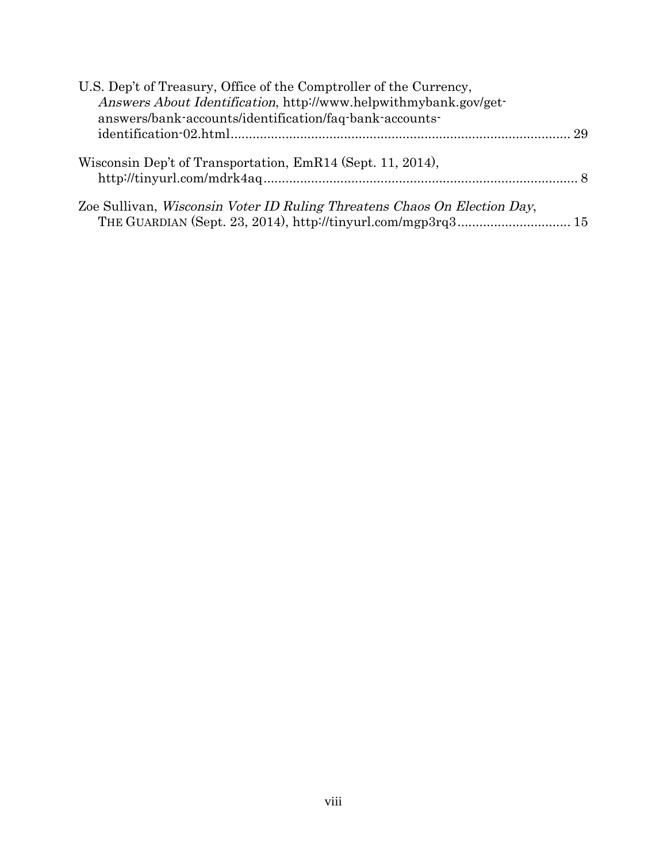| U.S. Dep't of Treasury, Office of the Comptroller of the Currency,       |  |
|--------------------------------------------------------------------------|--|
| Answers About Identification, http://www.helpwithmybank.gov/get-         |  |
| answers/bank-accounts/identification/faq-bank-accounts-                  |  |
|                                                                          |  |
| Wisconsin Dep't of Transportation, EmR14 (Sept. 11, 2014),               |  |
| Zoe Sullivan, Wisconsin Voter ID Ruling Threatens Chaos On Election Day, |  |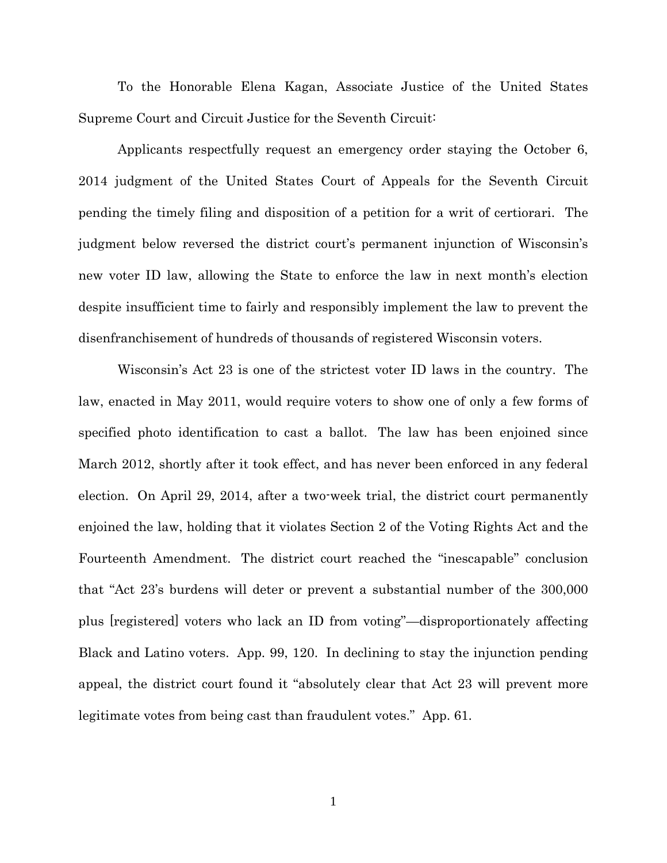To the Honorable Elena Kagan, Associate Justice of the United States Supreme Court and Circuit Justice for the Seventh Circuit:

Applicants respectfully request an emergency order staying the October 6, 2014 judgment of the United States Court of Appeals for the Seventh Circuit pending the timely filing and disposition of a petition for a writ of certiorari. The judgment below reversed the district court's permanent injunction of Wisconsin's new voter ID law, allowing the State to enforce the law in next month's election despite insufficient time to fairly and responsibly implement the law to prevent the disenfranchisement of hundreds of thousands of registered Wisconsin voters.

Wisconsin's Act 23 is one of the strictest voter ID laws in the country. The law, enacted in May 2011, would require voters to show one of only a few forms of specified photo identification to cast a ballot. The law has been enjoined since March 2012, shortly after it took effect, and has never been enforced in any federal election. On April 29, 2014, after a two-week trial, the district court permanently enjoined the law, holding that it violates Section 2 of the Voting Rights Act and the Fourteenth Amendment. The district court reached the "inescapable" conclusion that "Act 23's burdens will deter or prevent a substantial number of the 300,000 plus [registered] voters who lack an ID from voting"—disproportionately affecting Black and Latino voters. App. 99, 120. In declining to stay the injunction pending appeal, the district court found it "absolutely clear that Act 23 will prevent more legitimate votes from being cast than fraudulent votes." App. 61.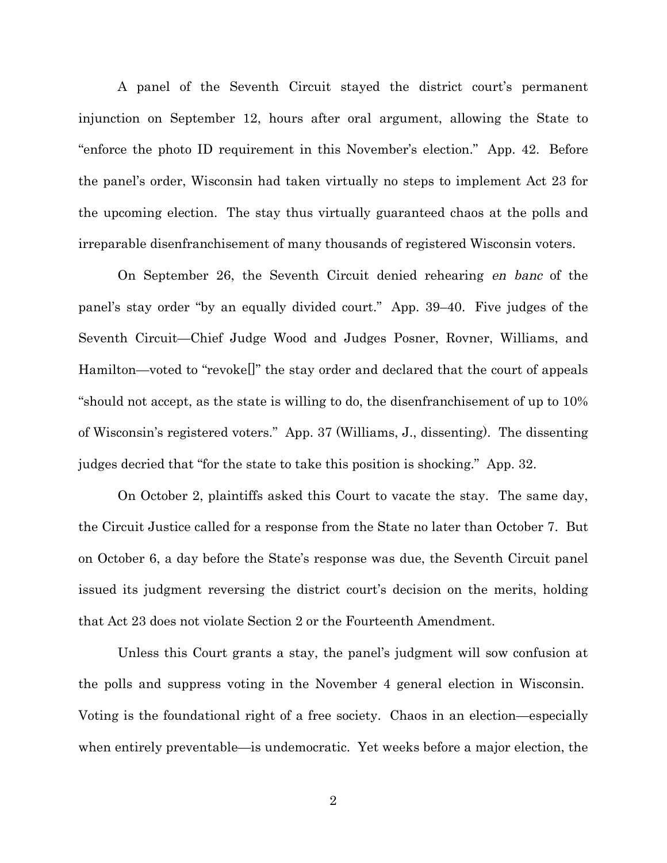A panel of the Seventh Circuit stayed the district court's permanent injunction on September 12, hours after oral argument, allowing the State to "enforce the photo ID requirement in this November's election." App. 42. Before the panel's order, Wisconsin had taken virtually no steps to implement Act 23 for the upcoming election. The stay thus virtually guaranteed chaos at the polls and irreparable disenfranchisement of many thousands of registered Wisconsin voters.

On September 26, the Seventh Circuit denied rehearing en banc of the panel's stay order "by an equally divided court." App. 39–40. Five judges of the Seventh Circuit—Chief Judge Wood and Judges Posner, Rovner, Williams, and Hamilton—voted to "revoke[]" the stay order and declared that the court of appeals "should not accept, as the state is willing to do, the disenfranchisement of up to 10% of Wisconsin's registered voters." App. 37 (Williams, J., dissenting). The dissenting judges decried that "for the state to take this position is shocking." App. 32.

On October 2, plaintiffs asked this Court to vacate the stay. The same day, the Circuit Justice called for a response from the State no later than October 7. But on October 6, a day before the State's response was due, the Seventh Circuit panel issued its judgment reversing the district court's decision on the merits, holding that Act 23 does not violate Section 2 or the Fourteenth Amendment.

Unless this Court grants a stay, the panel's judgment will sow confusion at the polls and suppress voting in the November 4 general election in Wisconsin. Voting is the foundational right of a free society. Chaos in an election—especially when entirely preventable—is undemocratic. Yet weeks before a major election, the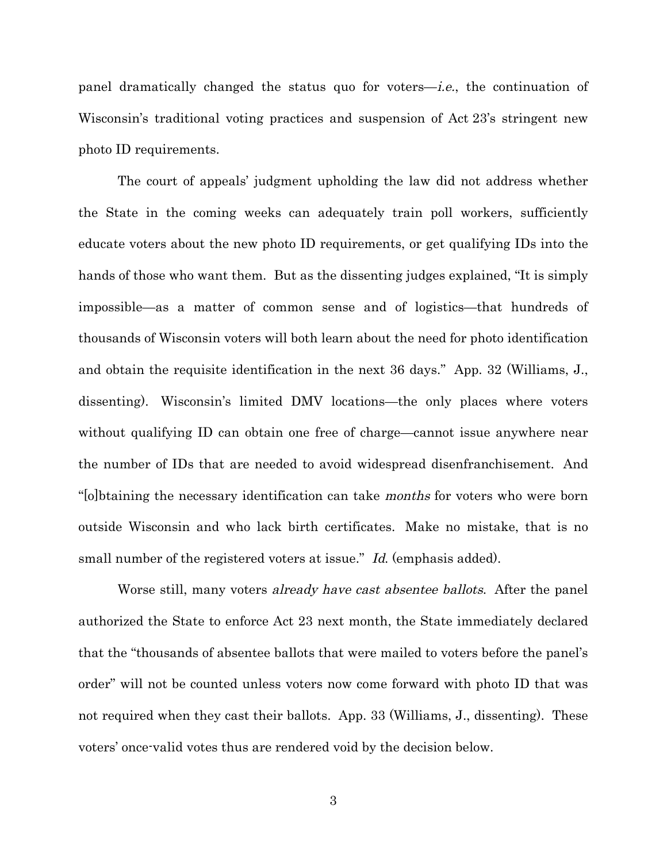panel dramatically changed the status quo for voters—i.e., the continuation of Wisconsin's traditional voting practices and suspension of Act 23's stringent new photo ID requirements.

The court of appeals' judgment upholding the law did not address whether the State in the coming weeks can adequately train poll workers, sufficiently educate voters about the new photo ID requirements, or get qualifying IDs into the hands of those who want them. But as the dissenting judges explained, "It is simply impossible—as a matter of common sense and of logistics—that hundreds of thousands of Wisconsin voters will both learn about the need for photo identification and obtain the requisite identification in the next 36 days." App. 32 (Williams, J., dissenting). Wisconsin's limited DMV locations—the only places where voters without qualifying ID can obtain one free of charge—cannot issue anywhere near the number of IDs that are needed to avoid widespread disenfranchisement. And "[o]btaining the necessary identification can take months for voters who were born outside Wisconsin and who lack birth certificates. Make no mistake, that is no small number of the registered voters at issue." Id. (emphasis added).

Worse still, many voters *already have cast absentee ballots*. After the panel authorized the State to enforce Act 23 next month, the State immediately declared that the "thousands of absentee ballots that were mailed to voters before the panel's order" will not be counted unless voters now come forward with photo ID that was not required when they cast their ballots. App. 33 (Williams, J., dissenting). These voters' once-valid votes thus are rendered void by the decision below.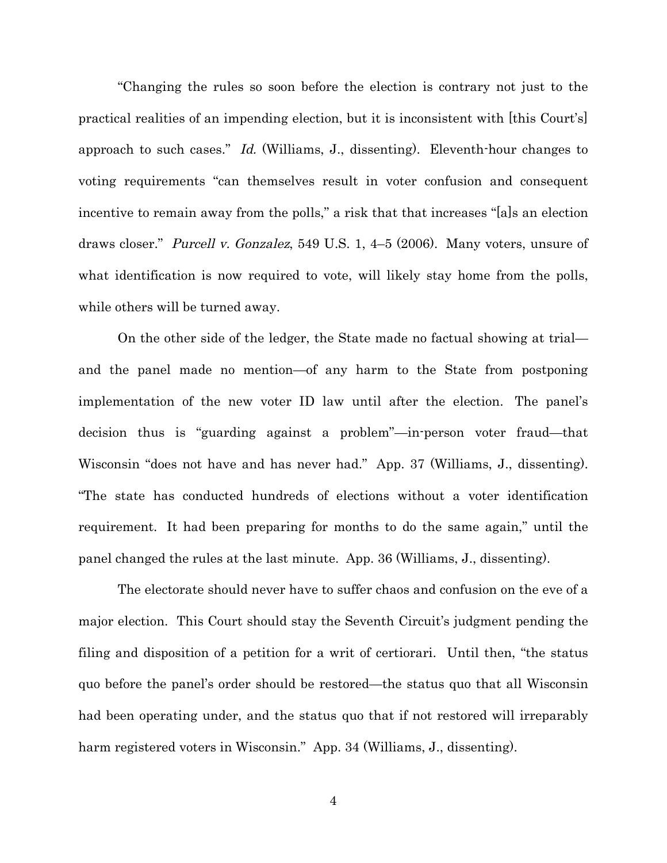"Changing the rules so soon before the election is contrary not just to the practical realities of an impending election, but it is inconsistent with [this Court's] approach to such cases." Id. (Williams, J., dissenting). Eleventh-hour changes to voting requirements "can themselves result in voter confusion and consequent incentive to remain away from the polls," a risk that that increases "[a]s an election draws closer." Purcell v. Gonzalez, 549 U.S. 1, 4–5 (2006). Many voters, unsure of what identification is now required to vote, will likely stay home from the polls, while others will be turned away.

On the other side of the ledger, the State made no factual showing at trial and the panel made no mention—of any harm to the State from postponing implementation of the new voter ID law until after the election. The panel's decision thus is "guarding against a problem"—in-person voter fraud—that Wisconsin "does not have and has never had." App. 37 (Williams, J., dissenting). "The state has conducted hundreds of elections without a voter identification requirement. It had been preparing for months to do the same again," until the panel changed the rules at the last minute. App. 36 (Williams, J., dissenting).

The electorate should never have to suffer chaos and confusion on the eve of a major election. This Court should stay the Seventh Circuit's judgment pending the filing and disposition of a petition for a writ of certiorari. Until then, "the status quo before the panel's order should be restored—the status quo that all Wisconsin had been operating under, and the status quo that if not restored will irreparably harm registered voters in Wisconsin." App. 34 (Williams, J., dissenting).

4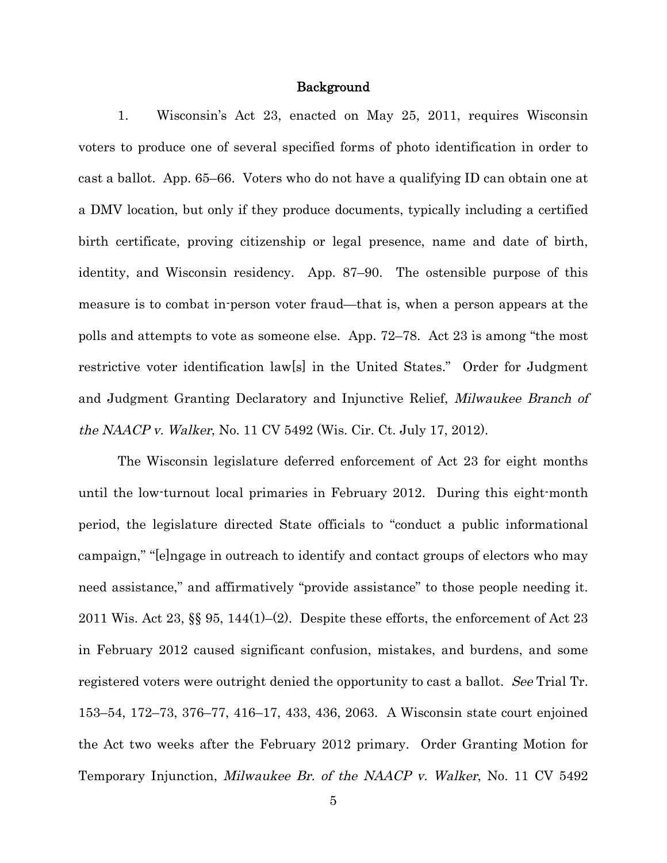#### Background

1. Wisconsin's Act 23, enacted on May 25, 2011, requires Wisconsin voters to produce one of several specified forms of photo identification in order to cast a ballot. App. 65–66. Voters who do not have a qualifying ID can obtain one at a DMV location, but only if they produce documents, typically including a certified birth certificate, proving citizenship or legal presence, name and date of birth, identity, and Wisconsin residency. App. 87–90. The ostensible purpose of this measure is to combat in-person voter fraud—that is, when a person appears at the polls and attempts to vote as someone else. App. 72–78. Act 23 is among "the most restrictive voter identification law[s] in the United States." Order for Judgment and Judgment Granting Declaratory and Injunctive Relief, Milwaukee Branch of the NAACP v. Walker, No. 11 CV 5492 (Wis. Cir. Ct. July 17, 2012).

The Wisconsin legislature deferred enforcement of Act 23 for eight months until the low-turnout local primaries in February 2012. During this eight-month period, the legislature directed State officials to "conduct a public informational campaign," "[e]ngage in outreach to identify and contact groups of electors who may need assistance," and affirmatively "provide assistance" to those people needing it. 2011 Wis. Act 23,  $\S$  95, 144(1)–(2). Despite these efforts, the enforcement of Act 23 in February 2012 caused significant confusion, mistakes, and burdens, and some registered voters were outright denied the opportunity to cast a ballot. See Trial Tr. 153–54, 172–73, 376–77, 416–17, 433, 436, 2063. A Wisconsin state court enjoined the Act two weeks after the February 2012 primary. Order Granting Motion for Temporary Injunction, Milwaukee Br. of the NAACP v. Walker, No. 11 CV 5492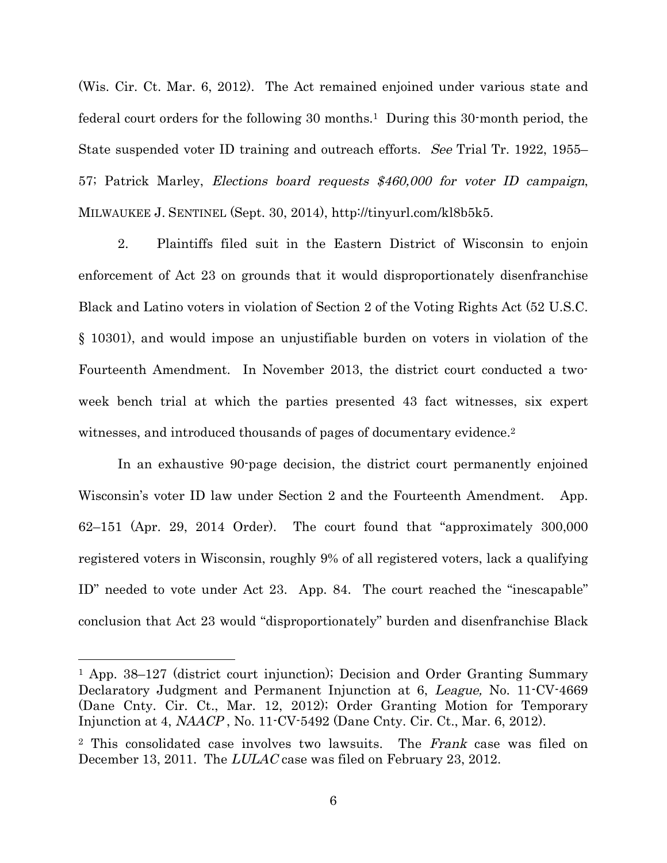(Wis. Cir. Ct. Mar. 6, 2012). The Act remained enjoined under various state and federal court orders for the following 30 months.<sup>1</sup> During this 30-month period, the State suspended voter ID training and outreach efforts. See Trial Tr. 1922, 1955– 57; Patrick Marley, Elections board requests \$460,000 for voter ID campaign, MILWAUKEE J. SENTINEL (Sept. 30, 2014), http://tinyurl.com/kl8b5k5.

2. Plaintiffs filed suit in the Eastern District of Wisconsin to enjoin enforcement of Act 23 on grounds that it would disproportionately disenfranchise Black and Latino voters in violation of Section 2 of the Voting Rights Act (52 U.S.C. § 10301), and would impose an unjustifiable burden on voters in violation of the Fourteenth Amendment. In November 2013, the district court conducted a twoweek bench trial at which the parties presented 43 fact witnesses, six expert witnesses, and introduced thousands of pages of documentary evidence.<sup>2</sup>

In an exhaustive 90-page decision, the district court permanently enjoined Wisconsin's voter ID law under Section 2 and the Fourteenth Amendment. App. 62–151 (Apr. 29, 2014 Order). The court found that "approximately 300,000 registered voters in Wisconsin, roughly 9% of all registered voters, lack a qualifying ID" needed to vote under Act 23. App. 84. The court reached the "inescapable" conclusion that Act 23 would "disproportionately" burden and disenfranchise Black

<sup>1</sup> App. 38–127 (district court injunction); Decision and Order Granting Summary Declaratory Judgment and Permanent Injunction at 6, League, No. 11-CV-4669 (Dane Cnty. Cir. Ct., Mar. 12, 2012); Order Granting Motion for Temporary Injunction at 4, NAACP , No. 11-CV-5492 (Dane Cnty. Cir. Ct., Mar. 6, 2012).

<sup>&</sup>lt;sup>2</sup> This consolidated case involves two lawsuits. The Frank case was filed on December 13, 2011. The LULAC case was filed on February 23, 2012.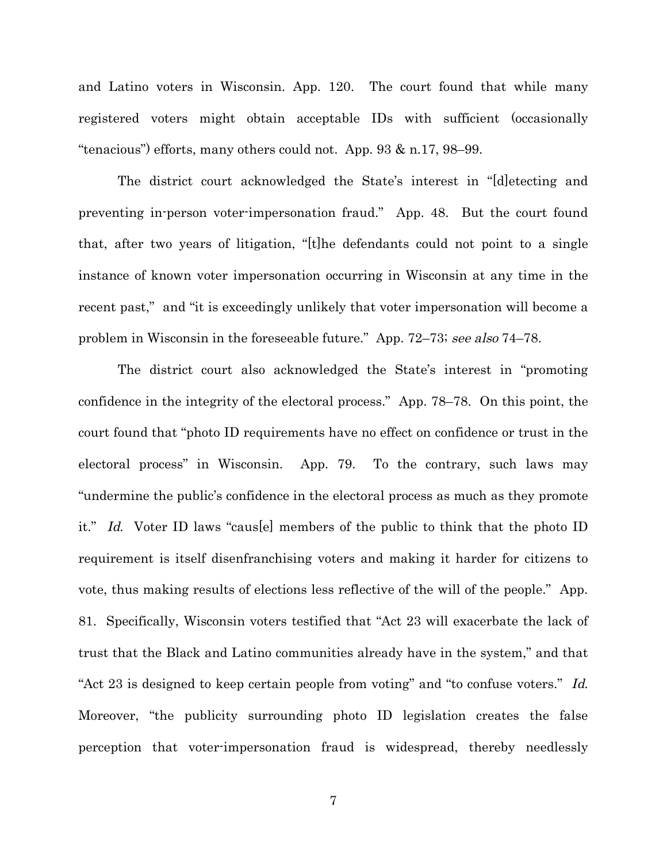and Latino voters in Wisconsin. App. 120. The court found that while many registered voters might obtain acceptable IDs with sufficient (occasionally "tenacious") efforts, many others could not. App. 93 & n.17, 98–99.

The district court acknowledged the State's interest in "[d]etecting and preventing in-person voter-impersonation fraud." App. 48. But the court found that, after two years of litigation, "[t]he defendants could not point to a single instance of known voter impersonation occurring in Wisconsin at any time in the recent past," and "it is exceedingly unlikely that voter impersonation will become a problem in Wisconsin in the foreseeable future." App. 72–73; see also 74–78.

The district court also acknowledged the State's interest in "promoting confidence in the integrity of the electoral process." App. 78–78. On this point, the court found that "photo ID requirements have no effect on confidence or trust in the electoral process" in Wisconsin. App. 79. To the contrary, such laws may "undermine the public's confidence in the electoral process as much as they promote it." Id. Voter ID laws "caus[e] members of the public to think that the photo ID requirement is itself disenfranchising voters and making it harder for citizens to vote, thus making results of elections less reflective of the will of the people." App. 81. Specifically, Wisconsin voters testified that "Act 23 will exacerbate the lack of trust that the Black and Latino communities already have in the system," and that "Act 23 is designed to keep certain people from voting" and "to confuse voters." Id. Moreover, "the publicity surrounding photo ID legislation creates the false perception that voter-impersonation fraud is widespread, thereby needlessly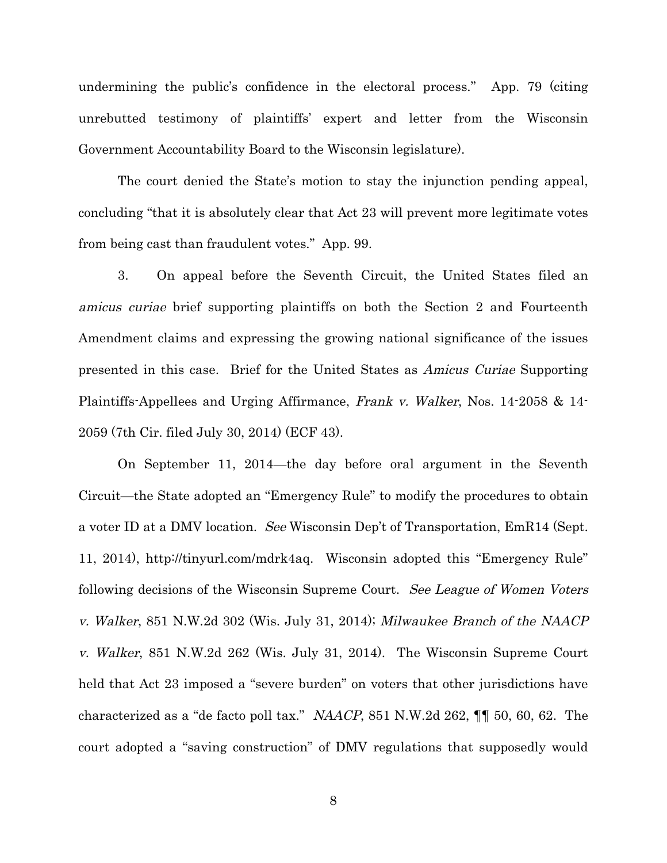undermining the public's confidence in the electoral process." App. 79 (citing unrebutted testimony of plaintiffs' expert and letter from the Wisconsin Government Accountability Board to the Wisconsin legislature).

The court denied the State's motion to stay the injunction pending appeal, concluding "that it is absolutely clear that Act 23 will prevent more legitimate votes from being cast than fraudulent votes." App. 99.

3. On appeal before the Seventh Circuit, the United States filed an amicus curiae brief supporting plaintiffs on both the Section 2 and Fourteenth Amendment claims and expressing the growing national significance of the issues presented in this case. Brief for the United States as Amicus Curiae Supporting Plaintiffs-Appellees and Urging Affirmance, Frank v. Walker, Nos. 14-2058 & 14- 2059 (7th Cir. filed July 30, 2014) (ECF 43).

On September 11, 2014—the day before oral argument in the Seventh Circuit—the State adopted an "Emergency Rule" to modify the procedures to obtain a voter ID at a DMV location. See Wisconsin Dep't of Transportation, EmR14 (Sept. 11, 2014), http://tinyurl.com/mdrk4aq. Wisconsin adopted this "Emergency Rule" following decisions of the Wisconsin Supreme Court. See League of Women Voters v. Walker, 851 N.W.2d 302 (Wis. July 31, 2014); Milwaukee Branch of the NAACP v. Walker, 851 N.W.2d 262 (Wis. July 31, 2014). The Wisconsin Supreme Court held that Act 23 imposed a "severe burden" on voters that other jurisdictions have characterized as a "de facto poll tax." NAACP, 851 N.W.2d 262, ¶¶ 50, 60, 62. The court adopted a "saving construction" of DMV regulations that supposedly would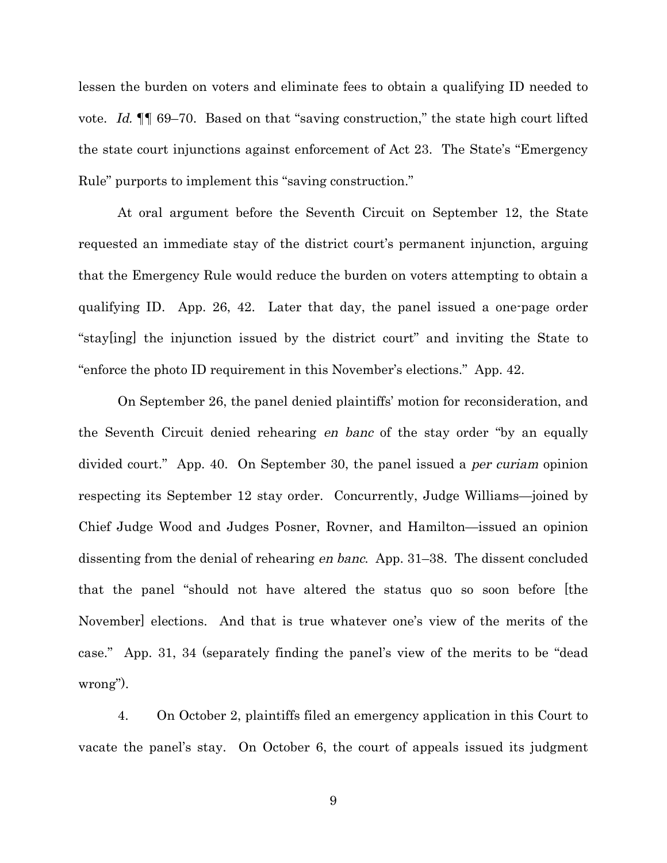lessen the burden on voters and eliminate fees to obtain a qualifying ID needed to vote. Id.  $\llbracket \cdot \rrbracket$  69–70. Based on that "saving construction," the state high court lifted the state court injunctions against enforcement of Act 23. The State's "Emergency Rule" purports to implement this "saving construction."

At oral argument before the Seventh Circuit on September 12, the State requested an immediate stay of the district court's permanent injunction, arguing that the Emergency Rule would reduce the burden on voters attempting to obtain a qualifying ID. App. 26, 42. Later that day, the panel issued a one-page order "stay[ing] the injunction issued by the district court" and inviting the State to "enforce the photo ID requirement in this November's elections." App. 42.

On September 26, the panel denied plaintiffs' motion for reconsideration, and the Seventh Circuit denied rehearing en banc of the stay order "by an equally divided court." App. 40. On September 30, the panel issued a *per curiam* opinion respecting its September 12 stay order. Concurrently, Judge Williams—joined by Chief Judge Wood and Judges Posner, Rovner, and Hamilton—issued an opinion dissenting from the denial of rehearing en banc. App. 31–38. The dissent concluded that the panel "should not have altered the status quo so soon before [the November] elections. And that is true whatever one's view of the merits of the case." App. 31, 34 (separately finding the panel's view of the merits to be "dead wrong").

4. On October 2, plaintiffs filed an emergency application in this Court to vacate the panel's stay. On October 6, the court of appeals issued its judgment

9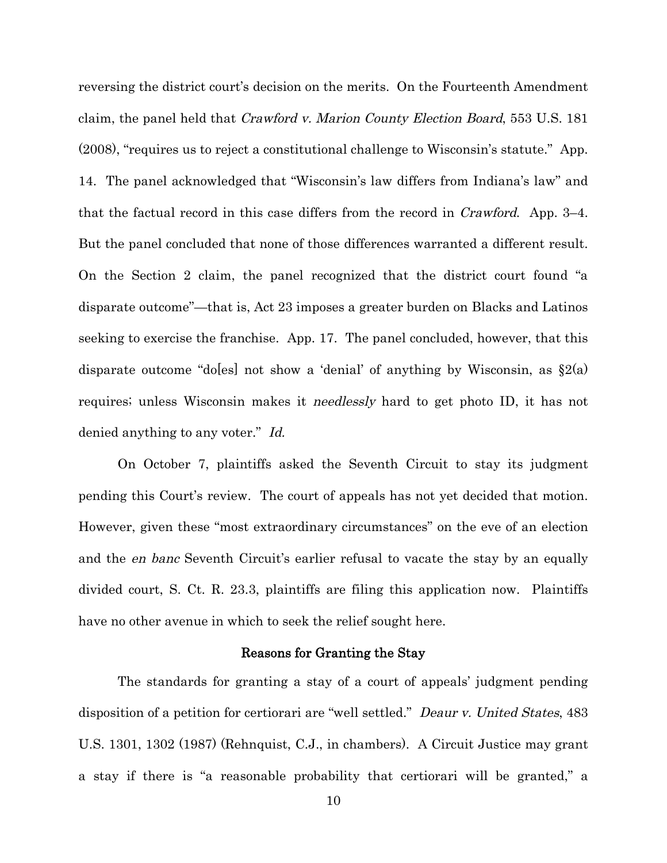reversing the district court's decision on the merits. On the Fourteenth Amendment claim, the panel held that Crawford v. Marion County Election Board, 553 U.S. 181 (2008), "requires us to reject a constitutional challenge to Wisconsin's statute." App. 14. The panel acknowledged that "Wisconsin's law differs from Indiana's law" and that the factual record in this case differs from the record in Crawford. App. 3–4. But the panel concluded that none of those differences warranted a different result. On the Section 2 claim, the panel recognized that the district court found "a disparate outcome"—that is, Act 23 imposes a greater burden on Blacks and Latinos seeking to exercise the franchise. App. 17. The panel concluded, however, that this disparate outcome "do[es] not show a 'denial' of anything by Wisconsin, as  $\S2(a)$ requires; unless Wisconsin makes it needlessly hard to get photo ID, it has not denied anything to any voter." Id.

On October 7, plaintiffs asked the Seventh Circuit to stay its judgment pending this Court's review. The court of appeals has not yet decided that motion. However, given these "most extraordinary circumstances" on the eve of an election and the en banc Seventh Circuit's earlier refusal to vacate the stay by an equally divided court, S. Ct. R. 23.3, plaintiffs are filing this application now. Plaintiffs have no other avenue in which to seek the relief sought here.

#### Reasons for Granting the Stay

The standards for granting a stay of a court of appeals' judgment pending disposition of a petition for certiorari are "well settled." Deaur v. United States, 483 U.S. 1301, 1302 (1987) (Rehnquist, C.J., in chambers). A Circuit Justice may grant a stay if there is "a reasonable probability that certiorari will be granted," a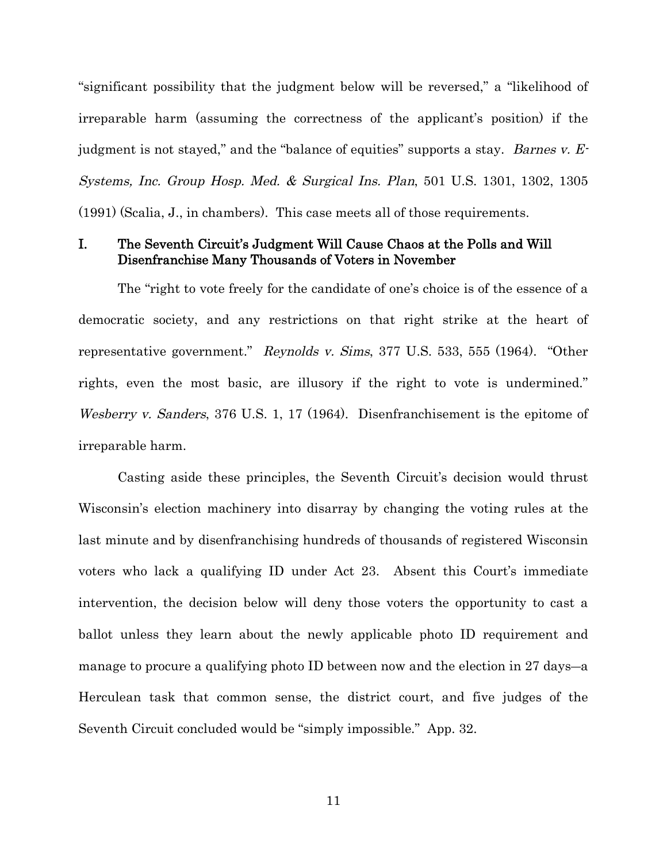"significant possibility that the judgment below will be reversed," a "likelihood of irreparable harm (assuming the correctness of the applicant's position) if the judgment is not stayed," and the "balance of equities" supports a stay. Barnes v.  $E$ . Systems, Inc. Group Hosp. Med. & Surgical Ins. Plan, 501 U.S. 1301, 1302, 1305 (1991) (Scalia, J., in chambers). This case meets all of those requirements.

### I. The Seventh Circuit's Judgment Will Cause Chaos at the Polls and Will Disenfranchise Many Thousands of Voters in November

The "right to vote freely for the candidate of one's choice is of the essence of a democratic society, and any restrictions on that right strike at the heart of representative government." Reynolds v. Sims, 377 U.S. 533, 555 (1964). "Other rights, even the most basic, are illusory if the right to vote is undermined." Wesberry v. Sanders, 376 U.S. 1, 17 (1964). Disenfranchisement is the epitome of irreparable harm.

Casting aside these principles, the Seventh Circuit's decision would thrust Wisconsin's election machinery into disarray by changing the voting rules at the last minute and by disenfranchising hundreds of thousands of registered Wisconsin voters who lack a qualifying ID under Act 23. Absent this Court's immediate intervention, the decision below will deny those voters the opportunity to cast a ballot unless they learn about the newly applicable photo ID requirement and manage to procure a qualifying photo ID between now and the election in 27 days―a Herculean task that common sense, the district court, and five judges of the Seventh Circuit concluded would be "simply impossible." App. 32.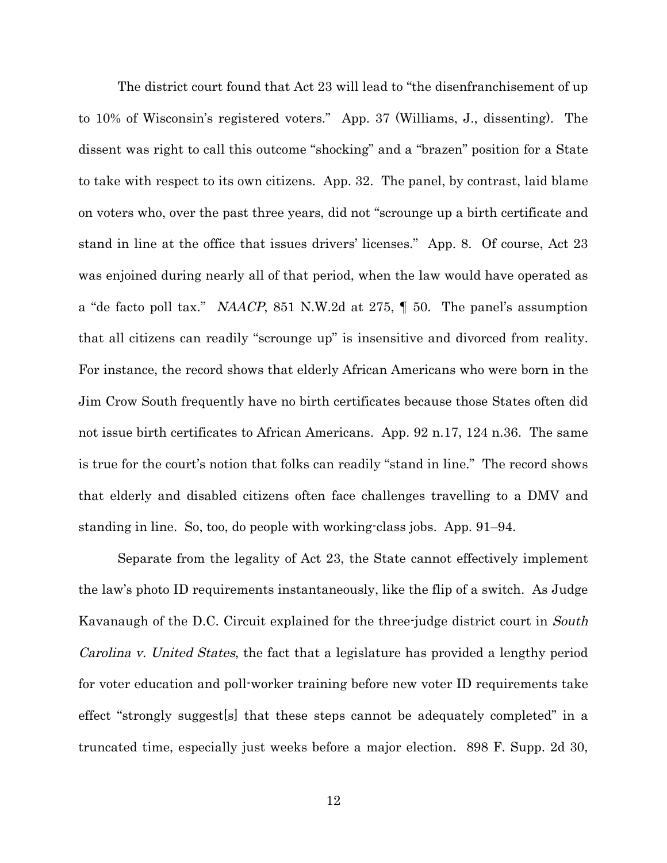The district court found that Act 23 will lead to "the disenfranchisement of up to 10% of Wisconsin's registered voters." App. 37 (Williams, J., dissenting). The dissent was right to call this outcome "shocking" and a "brazen" position for a State to take with respect to its own citizens. App. 32. The panel, by contrast, laid blame on voters who, over the past three years, did not "scrounge up a birth certificate and stand in line at the office that issues drivers' licenses." App. 8. Of course, Act 23 was enjoined during nearly all of that period, when the law would have operated as a "de facto poll tax." NAACP, 851 N.W.2d at 275, ¶ 50. The panel's assumption that all citizens can readily "scrounge up" is insensitive and divorced from reality. For instance, the record shows that elderly African Americans who were born in the Jim Crow South frequently have no birth certificates because those States often did not issue birth certificates to African Americans. App. 92 n.17, 124 n.36. The same is true for the court's notion that folks can readily "stand in line." The record shows that elderly and disabled citizens often face challenges travelling to a DMV and standing in line. So, too, do people with working-class jobs. App. 91–94.

Separate from the legality of Act 23, the State cannot effectively implement the law's photo ID requirements instantaneously, like the flip of a switch. As Judge Kavanaugh of the D.C. Circuit explained for the three-judge district court in *South* Carolina v. United States, the fact that a legislature has provided a lengthy period for voter education and poll-worker training before new voter ID requirements take effect "strongly suggest[s] that these steps cannot be adequately completed" in a truncated time, especially just weeks before a major election. 898 F. Supp. 2d 30,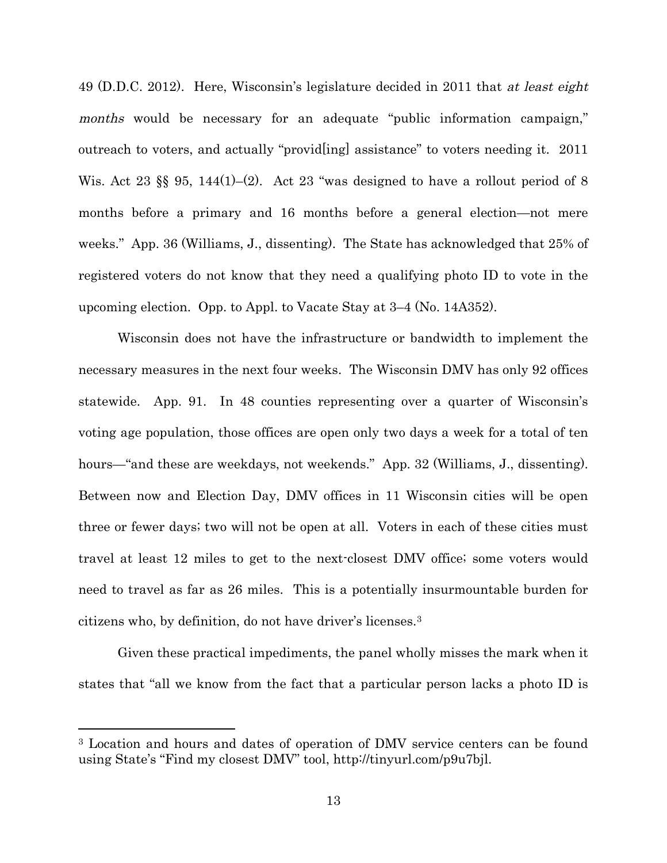49 (D.D.C. 2012). Here, Wisconsin's legislature decided in 2011 that at least eight months would be necessary for an adequate "public information campaign," outreach to voters, and actually "provid[ing] assistance" to voters needing it. 2011 Wis. Act 23  $\S$  95, 144(1)–(2). Act 23 "was designed to have a rollout period of 8 months before a primary and 16 months before a general election—not mere weeks." App. 36 (Williams, J., dissenting). The State has acknowledged that 25% of registered voters do not know that they need a qualifying photo ID to vote in the upcoming election. Opp. to Appl. to Vacate Stay at 3–4 (No. 14A352).

Wisconsin does not have the infrastructure or bandwidth to implement the necessary measures in the next four weeks. The Wisconsin DMV has only 92 offices statewide. App. 91. In 48 counties representing over a quarter of Wisconsin's voting age population, those offices are open only two days a week for a total of ten hours—"and these are weekdays, not weekends." App. 32 (Williams, J., dissenting). Between now and Election Day, DMV offices in 11 Wisconsin cities will be open three or fewer days; two will not be open at all. Voters in each of these cities must travel at least 12 miles to get to the next-closest DMV office; some voters would need to travel as far as 26 miles. This is a potentially insurmountable burden for citizens who, by definition, do not have driver's licenses.<sup>3</sup>

Given these practical impediments, the panel wholly misses the mark when it states that "all we know from the fact that a particular person lacks a photo ID is

<sup>&</sup>lt;sup>3</sup> Location and hours and dates of operation of DMV service centers can be found using State's "Find my closest DMV" tool, http://tinyurl.com/p9u7bjl.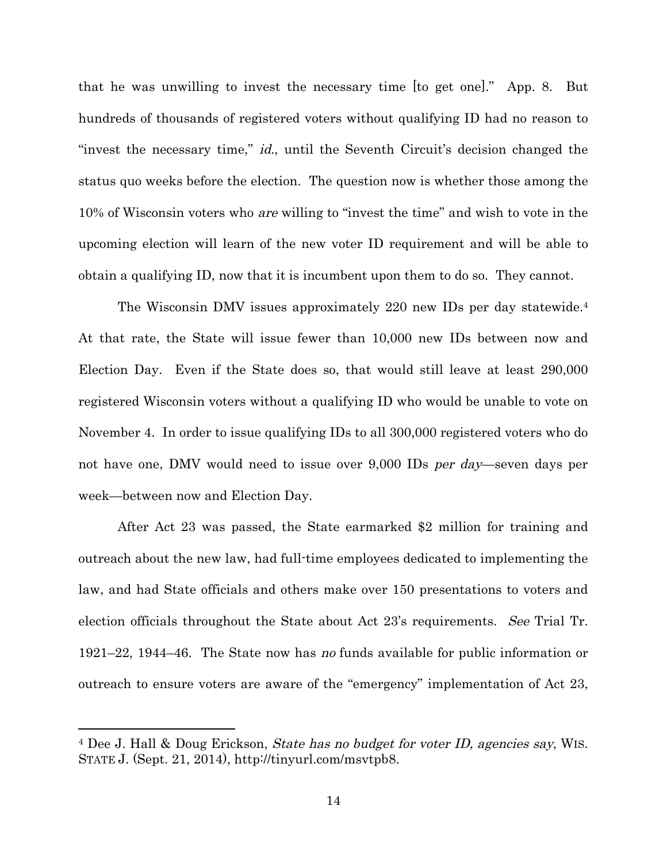that he was unwilling to invest the necessary time [to get one]." App. 8. But hundreds of thousands of registered voters without qualifying ID had no reason to "invest the necessary time," id., until the Seventh Circuit's decision changed the status quo weeks before the election. The question now is whether those among the 10% of Wisconsin voters who are willing to "invest the time" and wish to vote in the upcoming election will learn of the new voter ID requirement and will be able to obtain a qualifying ID, now that it is incumbent upon them to do so. They cannot.

The Wisconsin DMV issues approximately 220 new IDs per day statewide.<sup>4</sup> At that rate, the State will issue fewer than 10,000 new IDs between now and Election Day. Even if the State does so, that would still leave at least 290,000 registered Wisconsin voters without a qualifying ID who would be unable to vote on November 4. In order to issue qualifying IDs to all 300,000 registered voters who do not have one, DMV would need to issue over 9,000 IDs per day—seven days per week—between now and Election Day.

After Act 23 was passed, the State earmarked \$2 million for training and outreach about the new law, had full-time employees dedicated to implementing the law, and had State officials and others make over 150 presentations to voters and election officials throughout the State about Act 23's requirements. See Trial Tr. 1921–22, 1944–46. The State now has no funds available for public information or outreach to ensure voters are aware of the "emergency" implementation of Act 23,

<sup>4</sup> Dee J. Hall & Doug Erickson, State has no budget for voter ID, agencies say, WIS. STATE J. (Sept. 21, 2014), http://tinyurl.com/msvtpb8.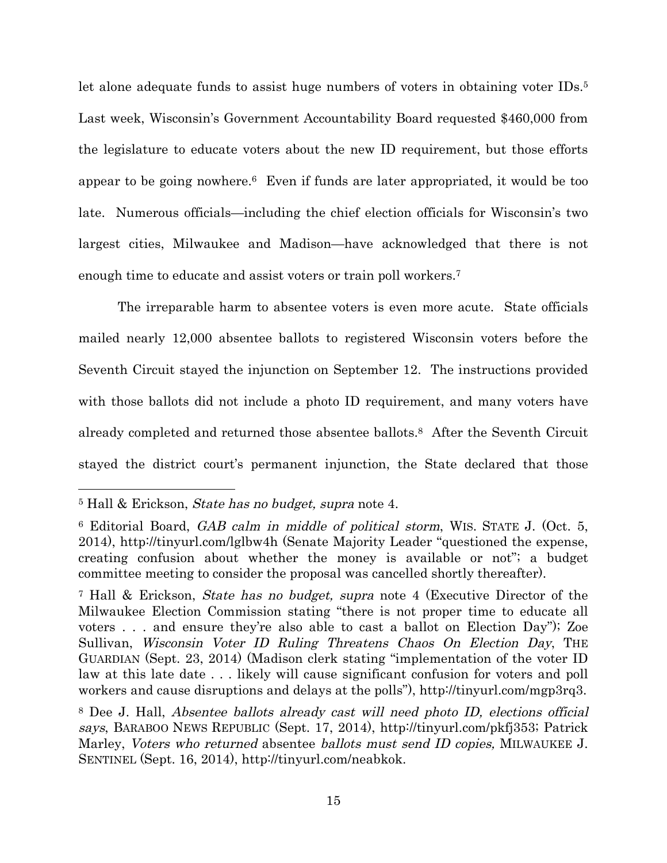let alone adequate funds to assist huge numbers of voters in obtaining voter IDs.<sup>5</sup> Last week, Wisconsin's Government Accountability Board requested \$460,000 from the legislature to educate voters about the new ID requirement, but those efforts appear to be going nowhere.<sup>6</sup> Even if funds are later appropriated, it would be too late. Numerous officials—including the chief election officials for Wisconsin's two largest cities, Milwaukee and Madison—have acknowledged that there is not enough time to educate and assist voters or train poll workers.<sup>7</sup>

The irreparable harm to absentee voters is even more acute. State officials mailed nearly 12,000 absentee ballots to registered Wisconsin voters before the Seventh Circuit stayed the injunction on September 12. The instructions provided with those ballots did not include a photo ID requirement, and many voters have already completed and returned those absentee ballots.<sup>8</sup> After the Seventh Circuit stayed the district court's permanent injunction, the State declared that those

<sup>&</sup>lt;sup>5</sup> Hall & Erickson, *State has no budget*, *supra* note 4.

<sup>6</sup> Editorial Board, GAB calm in middle of political storm, WIS. STATE J. (Oct. 5, 2014), http://tinyurl.com/lglbw4h (Senate Majority Leader "questioned the expense, creating confusion about whether the money is available or not"; a budget committee meeting to consider the proposal was cancelled shortly thereafter).

<sup>&</sup>lt;sup>7</sup> Hall & Erickson, *State has no budget, supra* note 4 (Executive Director of the Milwaukee Election Commission stating "there is not proper time to educate all voters . . . and ensure they're also able to cast a ballot on Election Day"); Zoe Sullivan, Wisconsin Voter ID Ruling Threatens Chaos On Election Day, THE GUARDIAN (Sept. 23, 2014) (Madison clerk stating "implementation of the voter ID law at this late date . . . likely will cause significant confusion for voters and poll workers and cause disruptions and delays at the polls"), http://tinyurl.com/mgp3rq3.

<sup>8</sup> Dee J. Hall, Absentee ballots already cast will need photo ID, elections official says, BARABOO NEWS REPUBLIC (Sept. 17, 2014), http://tinyurl.com/pkfj353; Patrick Marley, Voters who returned absentee ballots must send ID copies, MILWAUKEE J. SENTINEL (Sept. 16, 2014), http://tinyurl.com/neabkok.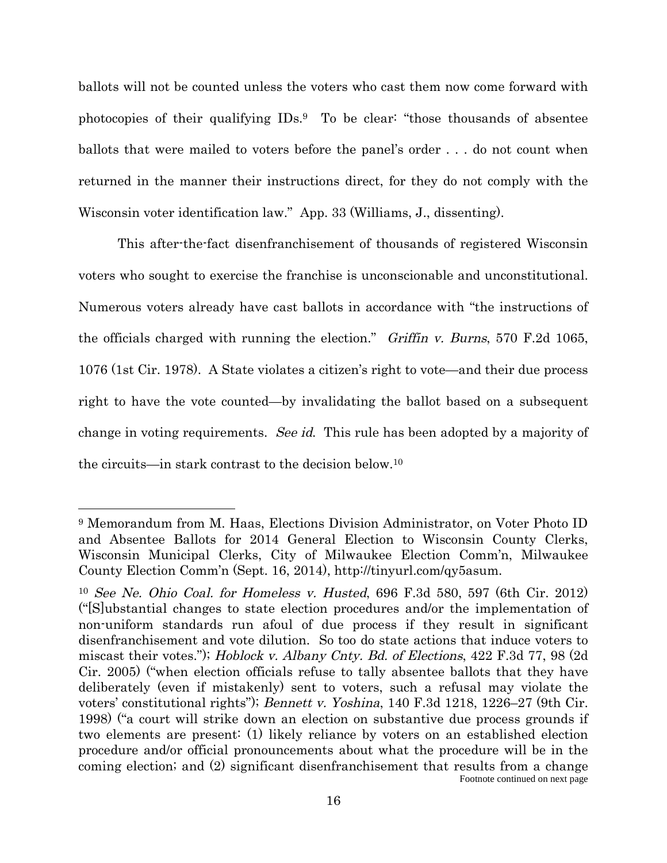ballots will not be counted unless the voters who cast them now come forward with photocopies of their qualifying IDs.<sup>9</sup> To be clear: "those thousands of absentee ballots that were mailed to voters before the panel's order . . . do not count when returned in the manner their instructions direct, for they do not comply with the Wisconsin voter identification law." App. 33 (Williams, J., dissenting).

This after-the-fact disenfranchisement of thousands of registered Wisconsin voters who sought to exercise the franchise is unconscionable and unconstitutional. Numerous voters already have cast ballots in accordance with "the instructions of the officials charged with running the election." Griffin v. Burns, 570 F.2d 1065, 1076 (1st Cir. 1978). A State violates a citizen's right to vote—and their due process right to have the vote counted—by invalidating the ballot based on a subsequent change in voting requirements. See id. This rule has been adopted by a majority of the circuits—in stark contrast to the decision below.<sup>10</sup>

<sup>9</sup> Memorandum from M. Haas, Elections Division Administrator, on Voter Photo ID and Absentee Ballots for 2014 General Election to Wisconsin County Clerks, Wisconsin Municipal Clerks, City of Milwaukee Election Comm'n, Milwaukee County Election Comm'n (Sept. 16, 2014), http://tinyurl.com/qy5asum.

<sup>10</sup> See Ne. Ohio Coal. for Homeless v. Husted, 696 F.3d 580, 597 (6th Cir. 2012) ("[S]ubstantial changes to state election procedures and/or the implementation of non-uniform standards run afoul of due process if they result in significant disenfranchisement and vote dilution. So too do state actions that induce voters to miscast their votes."); Hoblock v. Albany Cnty. Bd. of Elections, 422 F.3d 77, 98 (2d Cir. 2005) ("when election officials refuse to tally absentee ballots that they have deliberately (even if mistakenly) sent to voters, such a refusal may violate the voters' constitutional rights"); Bennett v. Yoshina, 140 F.3d 1218, 1226–27 (9th Cir. 1998) ("a court will strike down an election on substantive due process grounds if two elements are present: (1) likely reliance by voters on an established election procedure and/or official pronouncements about what the procedure will be in the coming election; and (2) significant disenfranchisement that results from a change Footnote continued on next page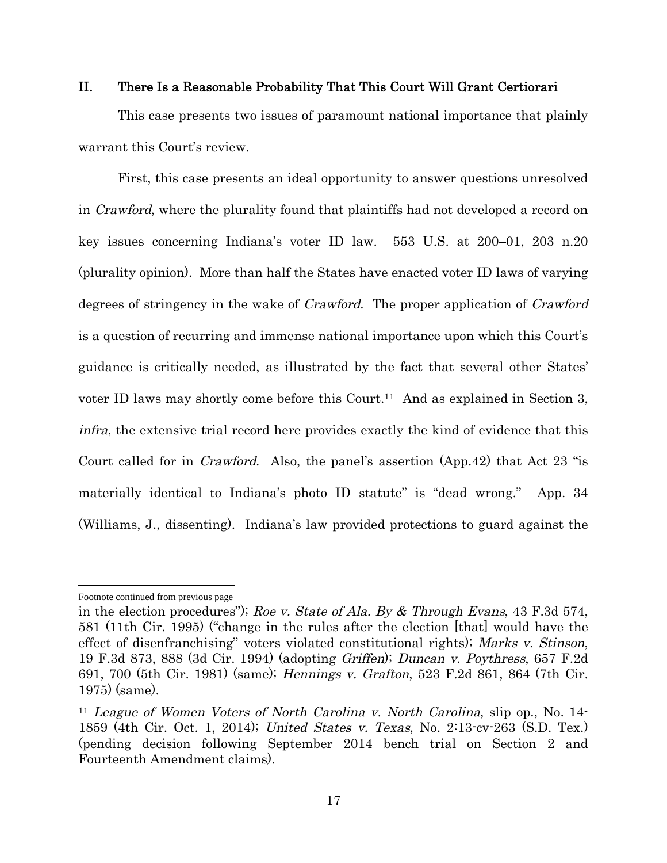#### II. There Is a Reasonable Probability That This Court Will Grant Certiorari

This case presents two issues of paramount national importance that plainly warrant this Court's review.

First, this case presents an ideal opportunity to answer questions unresolved in Crawford, where the plurality found that plaintiffs had not developed a record on key issues concerning Indiana's voter ID law. 553 U.S. at 200–01, 203 n.20 (plurality opinion). More than half the States have enacted voter ID laws of varying degrees of stringency in the wake of *Crawford*. The proper application of *Crawford* is a question of recurring and immense national importance upon which this Court's guidance is critically needed, as illustrated by the fact that several other States' voter ID laws may shortly come before this Court.<sup>11</sup> And as explained in Section 3, infra, the extensive trial record here provides exactly the kind of evidence that this Court called for in Crawford. Also, the panel's assertion (App.42) that Act 23 "is materially identical to Indiana's photo ID statute" is "dead wrong." App. 34 (Williams, J., dissenting). Indiana's law provided protections to guard against the

Footnote continued from previous page

in the election procedures"); Roe v. State of Ala. By  $\&$  Through Evans, 43 F.3d 574, 581 (11th Cir. 1995) ("change in the rules after the election [that] would have the effect of disenfranchising" voters violated constitutional rights); Marks v. Stinson, 19 F.3d 873, 888 (3d Cir. 1994) (adopting Griffen); Duncan v. Poythress, 657 F.2d 691, 700 (5th Cir. 1981) (same); Hennings v. Grafton, 523 F.2d 861, 864 (7th Cir. 1975) (same).

<sup>11</sup> League of Women Voters of North Carolina v. North Carolina, slip op., No. 14- 1859 (4th Cir. Oct. 1, 2014); United States v. Texas, No. 2:13-cv-263 (S.D. Tex.) (pending decision following September 2014 bench trial on Section 2 and Fourteenth Amendment claims).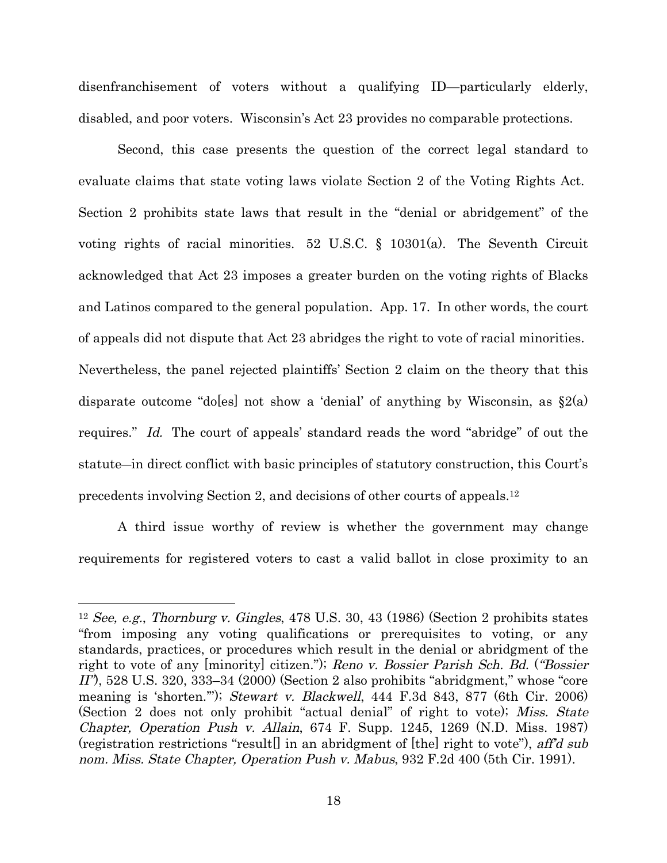disenfranchisement of voters without a qualifying ID—particularly elderly, disabled, and poor voters. Wisconsin's Act 23 provides no comparable protections.

Second, this case presents the question of the correct legal standard to evaluate claims that state voting laws violate Section 2 of the Voting Rights Act. Section 2 prohibits state laws that result in the "denial or abridgement" of the voting rights of racial minorities. 52 U.S.C. § 10301(a). The Seventh Circuit acknowledged that Act 23 imposes a greater burden on the voting rights of Blacks and Latinos compared to the general population. App. 17. In other words, the court of appeals did not dispute that Act 23 abridges the right to vote of racial minorities. Nevertheless, the panel rejected plaintiffs' Section 2 claim on the theory that this disparate outcome "do[es] not show a 'denial' of anything by Wisconsin, as  $\S 2(a)$ requires." Id. The court of appeals' standard reads the word "abridge" of out the statute―in direct conflict with basic principles of statutory construction, this Court's precedents involving Section 2, and decisions of other courts of appeals.<sup>12</sup>

A third issue worthy of review is whether the government may change requirements for registered voters to cast a valid ballot in close proximity to an

<sup>&</sup>lt;sup>12</sup> See, e.g., Thornburg v. Gingles, 478 U.S. 30, 43 (1986) (Section 2 prohibits states "from imposing any voting qualifications or prerequisites to voting, or any standards, practices, or procedures which result in the denial or abridgment of the right to vote of any [minority] citizen."); Reno v. Bossier Parish Sch. Bd. ("Bossier II"), 528 U.S. 320, 333–34 (2000) (Section 2 also prohibits "abridgment," whose "core meaning is 'shorten.'"); Stewart v. Blackwell, 444 F.3d 843, 877 (6th Cir. 2006) (Section 2 does not only prohibit "actual denial" of right to vote); Miss. State Chapter, Operation Push v. Allain, 674 F. Supp. 1245, 1269 (N.D. Miss. 1987) (registration restrictions "result<sup>[]</sup> in an abridgment of [the] right to vote"), aff'd sub nom. Miss. State Chapter, Operation Push v. Mabus, 932 F.2d 400 (5th Cir. 1991).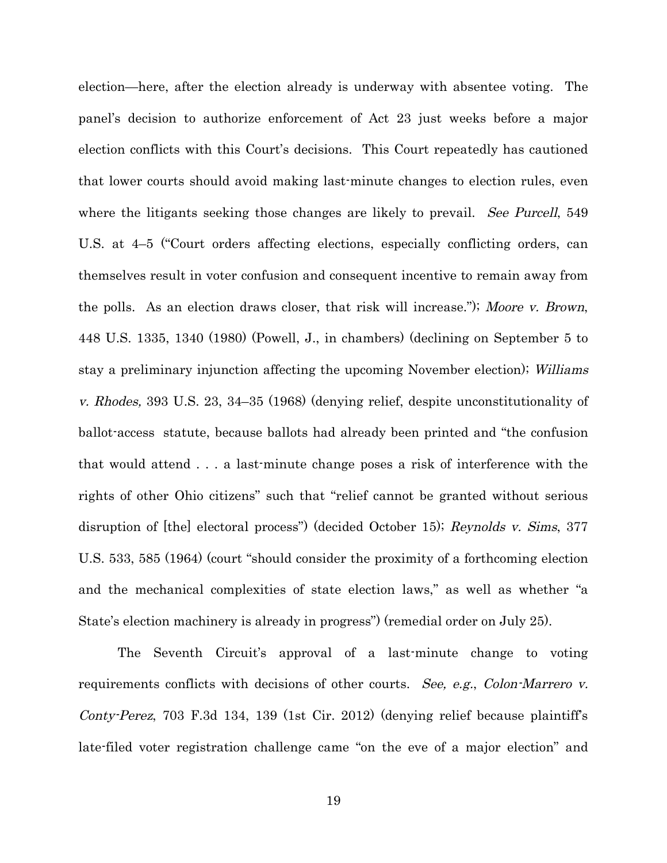election—here, after the election already is underway with absentee voting. The panel's decision to authorize enforcement of Act 23 just weeks before a major election conflicts with this Court's decisions. This Court repeatedly has cautioned that lower courts should avoid making last-minute changes to election rules, even where the litigants seeking those changes are likely to prevail. See Purcell, 549 U.S. at 4–5 ("Court orders affecting elections, especially conflicting orders, can themselves result in voter confusion and consequent incentive to remain away from the polls. As an election draws closer, that risk will increase."); Moore v. Brown, 448 U.S. 1335, 1340 (1980) (Powell, J., in chambers) (declining on September 5 to stay a preliminary injunction affecting the upcoming November election); Williams v. Rhodes, 393 U.S. 23, 34–35 (1968) (denying relief, despite unconstitutionality of ballot-access statute, because ballots had already been printed and "the confusion that would attend . . . a last-minute change poses a risk of interference with the rights of other Ohio citizens" such that "relief cannot be granted without serious disruption of [the] electoral process") (decided October 15); Reynolds v. Sims, 377 U.S. 533, 585 (1964) (court "should consider the proximity of a forthcoming election and the mechanical complexities of state election laws," as well as whether "a State's election machinery is already in progress") (remedial order on July 25).

The Seventh Circuit's approval of a last-minute change to voting requirements conflicts with decisions of other courts. See, e.g., Colon-Marrero v. Conty-Perez, 703 F.3d 134, 139 (1st Cir. 2012) (denying relief because plaintiff's late-filed voter registration challenge came "on the eve of a major election" and

19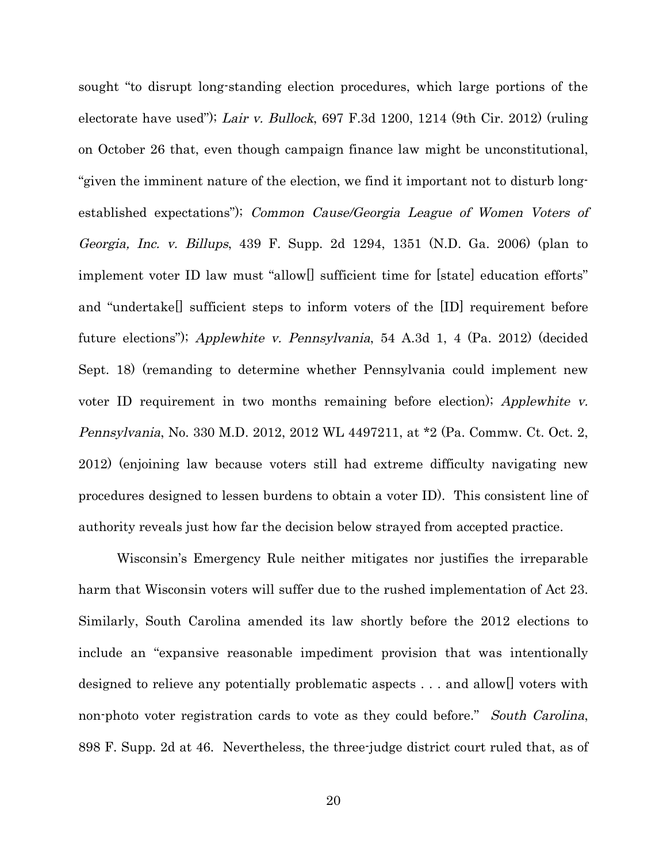sought "to disrupt long-standing election procedures, which large portions of the electorate have used"); Lair v. Bullock, 697 F.3d 1200, 1214 (9th Cir. 2012) (ruling on October 26 that, even though campaign finance law might be unconstitutional, "given the imminent nature of the election, we find it important not to disturb longestablished expectations"); Common Cause/Georgia League of Women Voters of Georgia, Inc. v. Billups, 439 F. Supp. 2d 1294, 1351 (N.D. Ga. 2006) (plan to implement voter ID law must "allow[] sufficient time for [state] education efforts" and "undertake[] sufficient steps to inform voters of the [ID] requirement before future elections"); Applewhite v. Pennsylvania, 54 A.3d 1, 4 (Pa. 2012) (decided Sept. 18) (remanding to determine whether Pennsylvania could implement new voter ID requirement in two months remaining before election); Applewhite v. Pennsylvania, No. 330 M.D. 2012, 2012 WL 4497211, at \*2 (Pa. Commw. Ct. Oct. 2, 2012) (enjoining law because voters still had extreme difficulty navigating new procedures designed to lessen burdens to obtain a voter ID). This consistent line of authority reveals just how far the decision below strayed from accepted practice.

Wisconsin's Emergency Rule neither mitigates nor justifies the irreparable harm that Wisconsin voters will suffer due to the rushed implementation of Act 23. Similarly, South Carolina amended its law shortly before the 2012 elections to include an "expansive reasonable impediment provision that was intentionally designed to relieve any potentially problematic aspects . . . and allow[] voters with non-photo voter registration cards to vote as they could before." South Carolina, 898 F. Supp. 2d at 46. Nevertheless, the three-judge district court ruled that, as of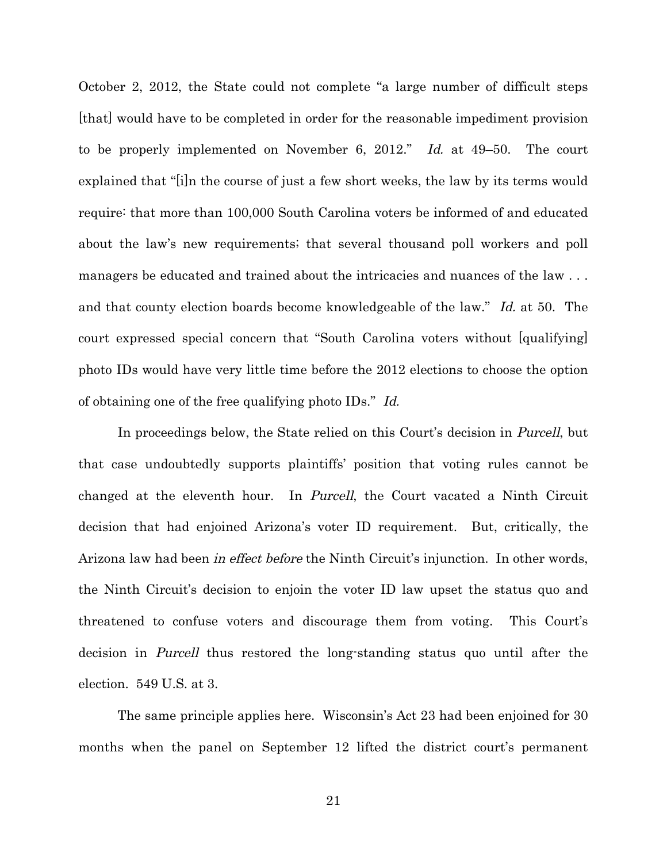October 2, 2012, the State could not complete "a large number of difficult steps [that] would have to be completed in order for the reasonable impediment provision to be properly implemented on November 6, 2012." Id. at 49–50. The court explained that "[i]n the course of just a few short weeks, the law by its terms would require: that more than 100,000 South Carolina voters be informed of and educated about the law's new requirements; that several thousand poll workers and poll managers be educated and trained about the intricacies and nuances of the law . . . and that county election boards become knowledgeable of the law." Id. at 50. The court expressed special concern that "South Carolina voters without [qualifying] photo IDs would have very little time before the 2012 elections to choose the option of obtaining one of the free qualifying photo IDs." Id.

In proceedings below, the State relied on this Court's decision in *Purcell*, but that case undoubtedly supports plaintiffs' position that voting rules cannot be changed at the eleventh hour. In Purcell, the Court vacated a Ninth Circuit decision that had enjoined Arizona's voter ID requirement. But, critically, the Arizona law had been in effect before the Ninth Circuit's injunction. In other words, the Ninth Circuit's decision to enjoin the voter ID law upset the status quo and threatened to confuse voters and discourage them from voting. This Court's decision in Purcell thus restored the long-standing status quo until after the election. 549 U.S. at 3.

The same principle applies here. Wisconsin's Act 23 had been enjoined for 30 months when the panel on September 12 lifted the district court's permanent

21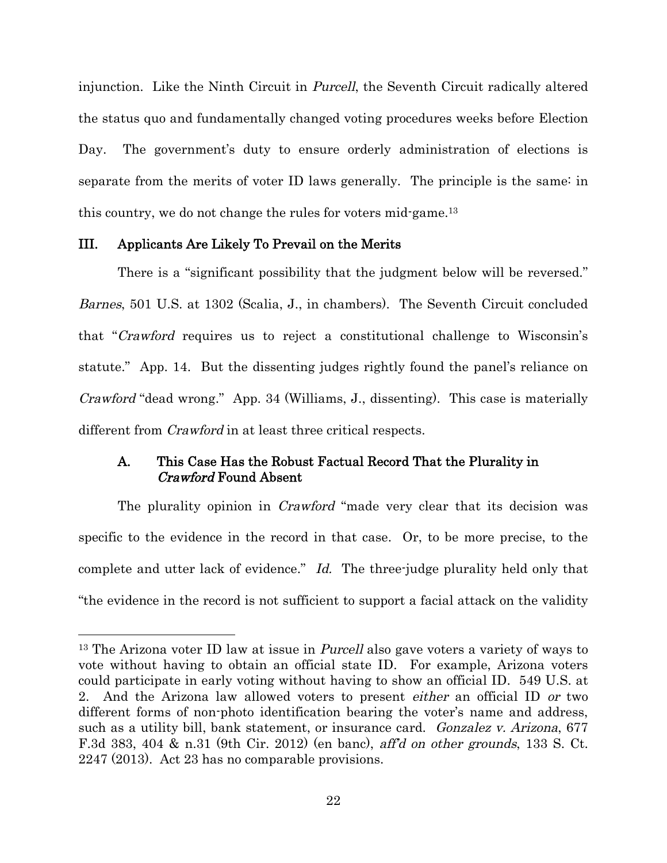injunction. Like the Ninth Circuit in *Purcell*, the Seventh Circuit radically altered the status quo and fundamentally changed voting procedures weeks before Election Day. The government's duty to ensure orderly administration of elections is separate from the merits of voter ID laws generally. The principle is the same: in this country, we do not change the rules for voters mid-game.<sup>13</sup>

#### III. Applicants Are Likely To Prevail on the Merits

There is a "significant possibility that the judgment below will be reversed." Barnes, 501 U.S. at 1302 (Scalia, J., in chambers). The Seventh Circuit concluded that "Crawford requires us to reject a constitutional challenge to Wisconsin's statute." App. 14. But the dissenting judges rightly found the panel's reliance on Crawford "dead wrong." App. 34 (Williams, J., dissenting). This case is materially different from *Crawford* in at least three critical respects.

### A. This Case Has the Robust Factual Record That the Plurality in Crawford Found Absent

The plurality opinion in *Crawford* "made very clear that its decision was specific to the evidence in the record in that case. Or, to be more precise, to the complete and utter lack of evidence." Id. The three-judge plurality held only that "the evidence in the record is not sufficient to support a facial attack on the validity

<sup>&</sup>lt;sup>13</sup> The Arizona voter ID law at issue in *Purcell* also gave voters a variety of ways to vote without having to obtain an official state ID. For example, Arizona voters could participate in early voting without having to show an official ID. 549 U.S. at 2. And the Arizona law allowed voters to present either an official ID or two different forms of non-photo identification bearing the voter's name and address, such as a utility bill, bank statement, or insurance card. Gonzalez v. Arizona, 677 F.3d 383, 404 & n.31 (9th Cir. 2012) (en banc), aff'd on other grounds, 133 S. Ct. 2247 (2013). Act 23 has no comparable provisions.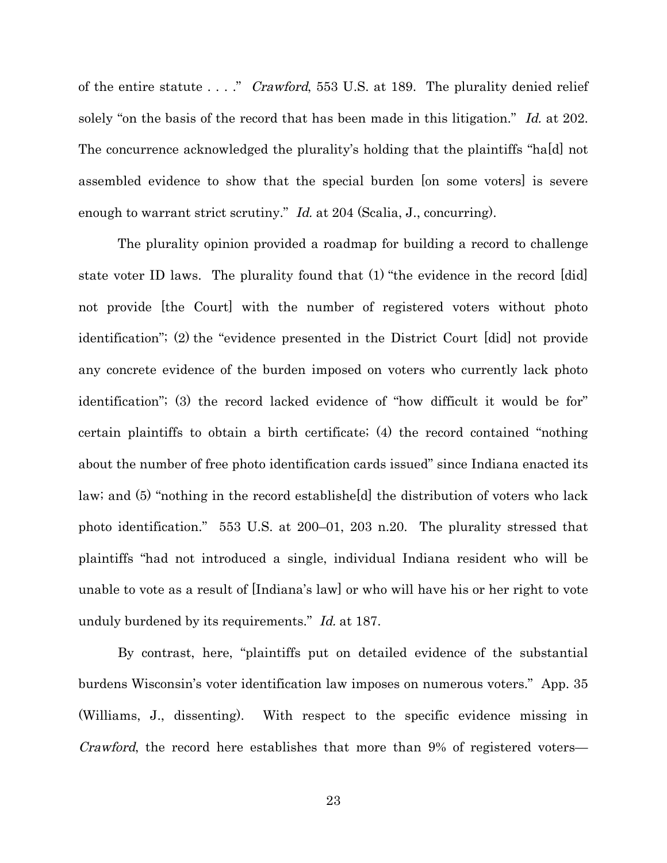of the entire statute . . . ." *Crawford*, 553 U.S. at 189. The plurality denied relief solely "on the basis of the record that has been made in this litigation." Id. at 202. The concurrence acknowledged the plurality's holding that the plaintiffs "ha[d] not assembled evidence to show that the special burden [on some voters] is severe enough to warrant strict scrutiny." Id. at 204 (Scalia, J., concurring).

The plurality opinion provided a roadmap for building a record to challenge state voter ID laws. The plurality found that (1) "the evidence in the record [did] not provide [the Court] with the number of registered voters without photo identification"; (2) the "evidence presented in the District Court [did] not provide any concrete evidence of the burden imposed on voters who currently lack photo identification"; (3) the record lacked evidence of "how difficult it would be for" certain plaintiffs to obtain a birth certificate; (4) the record contained "nothing about the number of free photo identification cards issued" since Indiana enacted its law; and (5) "nothing in the record establishe[d] the distribution of voters who lack photo identification." 553 U.S. at 200–01, 203 n.20. The plurality stressed that plaintiffs "had not introduced a single, individual Indiana resident who will be unable to vote as a result of [Indiana's law] or who will have his or her right to vote unduly burdened by its requirements." Id. at 187.

By contrast, here, "plaintiffs put on detailed evidence of the substantial burdens Wisconsin's voter identification law imposes on numerous voters." App. 35 (Williams, J., dissenting). With respect to the specific evidence missing in Crawford, the record here establishes that more than 9% of registered voters—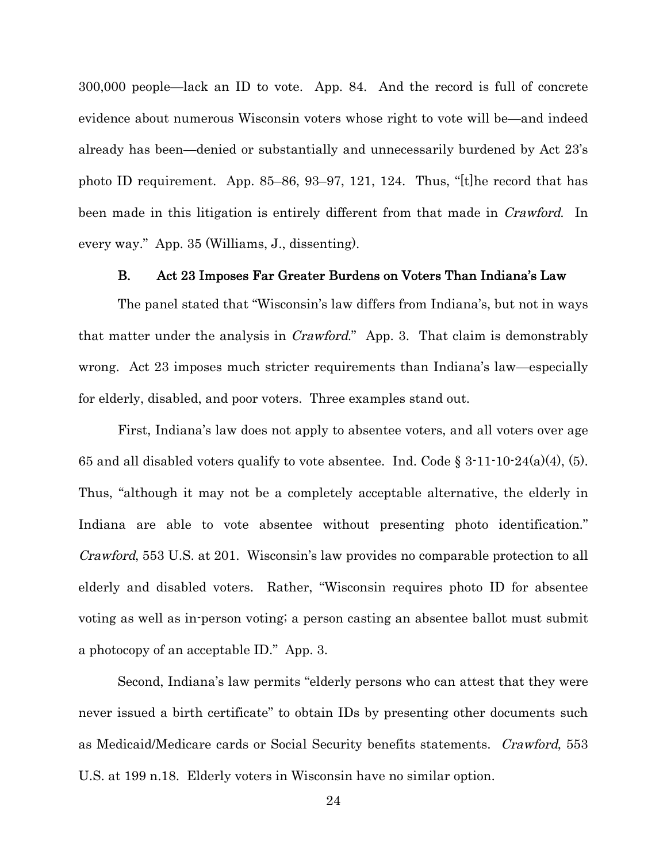300,000 people—lack an ID to vote. App. 84. And the record is full of concrete evidence about numerous Wisconsin voters whose right to vote will be—and indeed already has been—denied or substantially and unnecessarily burdened by Act 23's photo ID requirement. App. 85–86, 93–97, 121, 124. Thus, "[t]he record that has been made in this litigation is entirely different from that made in *Crawford*. In every way." App. 35 (Williams, J., dissenting).

#### B. Act 23 Imposes Far Greater Burdens on Voters Than Indiana's Law

The panel stated that "Wisconsin's law differs from Indiana's, but not in ways that matter under the analysis in *Crawford*." App. 3. That claim is demonstrably wrong. Act 23 imposes much stricter requirements than Indiana's law—especially for elderly, disabled, and poor voters. Three examples stand out.

First, Indiana's law does not apply to absentee voters, and all voters over age 65 and all disabled voters qualify to vote absentee. Ind. Code  $\S 3 \cdot 11 \cdot 10 \cdot 24(a)(4)$ , (5). Thus, "although it may not be a completely acceptable alternative, the elderly in Indiana are able to vote absentee without presenting photo identification." Crawford, 553 U.S. at 201. Wisconsin's law provides no comparable protection to all elderly and disabled voters. Rather, "Wisconsin requires photo ID for absentee voting as well as in-person voting; a person casting an absentee ballot must submit a photocopy of an acceptable ID." App. 3.

Second, Indiana's law permits "elderly persons who can attest that they were never issued a birth certificate" to obtain IDs by presenting other documents such as Medicaid/Medicare cards or Social Security benefits statements. Crawford, 553 U.S. at 199 n.18. Elderly voters in Wisconsin have no similar option.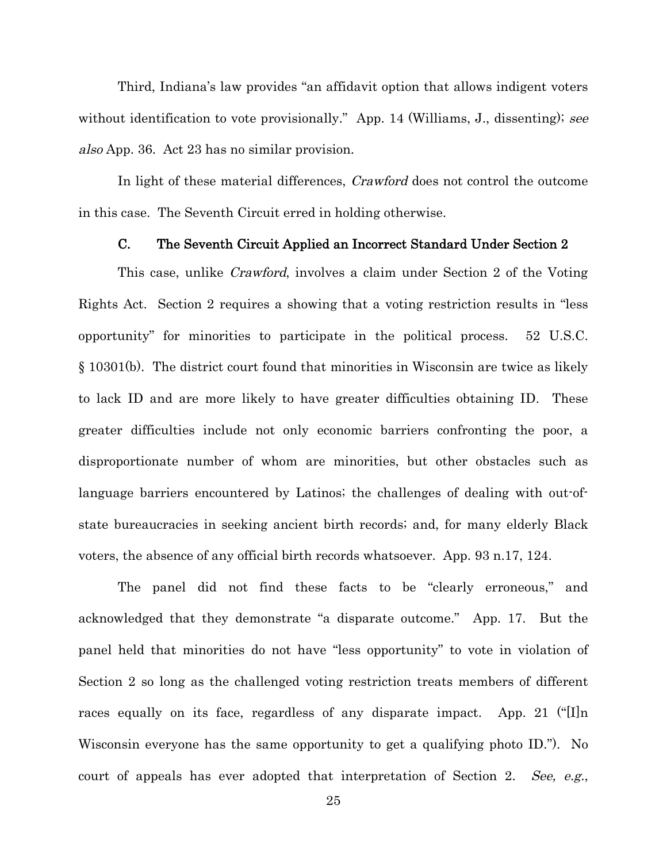Third, Indiana's law provides "an affidavit option that allows indigent voters without identification to vote provisionally." App. 14 (Williams, J., dissenting); see also App. 36. Act 23 has no similar provision.

In light of these material differences, Crawford does not control the outcome in this case. The Seventh Circuit erred in holding otherwise.

#### C. The Seventh Circuit Applied an Incorrect Standard Under Section 2

This case, unlike *Crawford*, involves a claim under Section 2 of the Voting Rights Act. Section 2 requires a showing that a voting restriction results in "less opportunity" for minorities to participate in the political process. 52 U.S.C. § 10301(b). The district court found that minorities in Wisconsin are twice as likely to lack ID and are more likely to have greater difficulties obtaining ID. These greater difficulties include not only economic barriers confronting the poor, a disproportionate number of whom are minorities, but other obstacles such as language barriers encountered by Latinos; the challenges of dealing with out-ofstate bureaucracies in seeking ancient birth records; and, for many elderly Black voters, the absence of any official birth records whatsoever. App. 93 n.17, 124.

The panel did not find these facts to be "clearly erroneous," and acknowledged that they demonstrate "a disparate outcome." App. 17. But the panel held that minorities do not have "less opportunity" to vote in violation of Section 2 so long as the challenged voting restriction treats members of different races equally on its face, regardless of any disparate impact. App. 21 ("[I]n Wisconsin everyone has the same opportunity to get a qualifying photo ID."). No court of appeals has ever adopted that interpretation of Section 2. See, e.g.,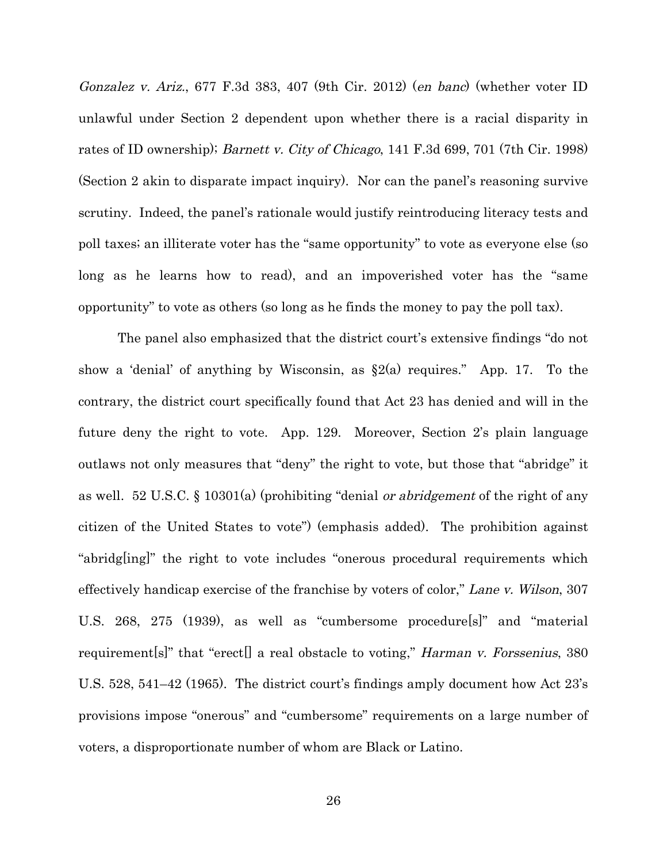Gonzalez v. Ariz., 677 F.3d 383, 407 (9th Cir. 2012) (en banc) (whether voter ID unlawful under Section 2 dependent upon whether there is a racial disparity in rates of ID ownership); *Barnett v. City of Chicago*, 141 F.3d 699, 701 (7th Cir. 1998) (Section 2 akin to disparate impact inquiry). Nor can the panel's reasoning survive scrutiny. Indeed, the panel's rationale would justify reintroducing literacy tests and poll taxes; an illiterate voter has the "same opportunity" to vote as everyone else (so long as he learns how to read), and an impoverished voter has the "same opportunity" to vote as others (so long as he finds the money to pay the poll tax).

The panel also emphasized that the district court's extensive findings "do not show a 'denial' of anything by Wisconsin, as  $\S 2(a)$  requires." App. 17. To the contrary, the district court specifically found that Act 23 has denied and will in the future deny the right to vote. App. 129. Moreover, Section 2's plain language outlaws not only measures that "deny" the right to vote, but those that "abridge" it as well. 52 U.S.C. § 10301(a) (prohibiting "denial or abridgement of the right of any citizen of the United States to vote") (emphasis added). The prohibition against "abridg[ing]" the right to vote includes "onerous procedural requirements which effectively handicap exercise of the franchise by voters of color," Lane v. Wilson, 307 U.S. 268, 275 (1939), as well as "cumbersome procedure[s]" and "material requirement[s]" that "erect[] a real obstacle to voting," *Harman v. Forssenius*, 380 U.S. 528, 541–42 (1965). The district court's findings amply document how Act 23's provisions impose "onerous" and "cumbersome" requirements on a large number of voters, a disproportionate number of whom are Black or Latino.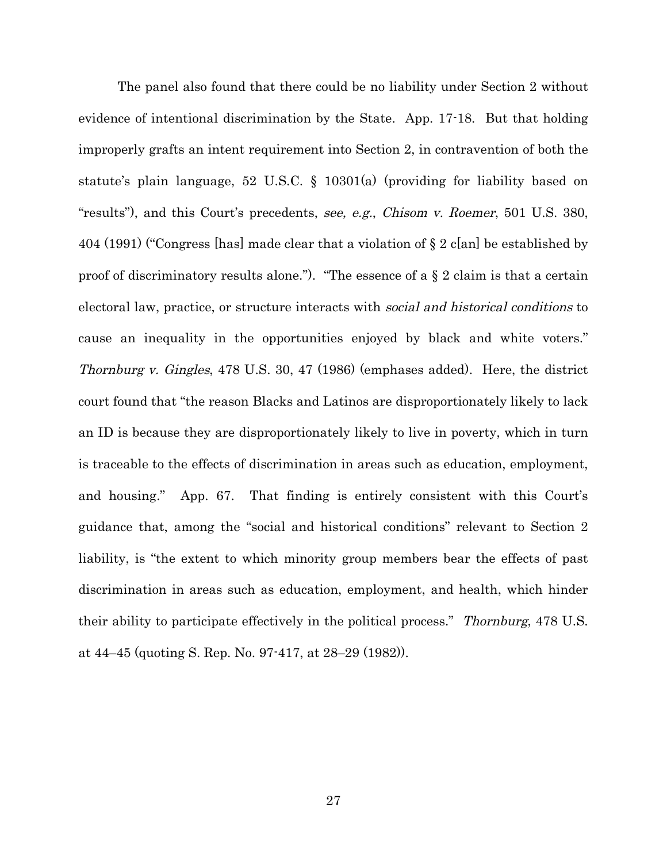The panel also found that there could be no liability under Section 2 without evidence of intentional discrimination by the State. App. 17-18. But that holding improperly grafts an intent requirement into Section 2, in contravention of both the statute's plain language, 52 U.S.C. § 10301(a) (providing for liability based on "results"), and this Court's precedents, see, e.g., Chisom v. Roemer, 501 U.S. 380, 404 (1991) ("Congress [has] made clear that a violation of § 2 c[an] be established by proof of discriminatory results alone."). "The essence of a  $\S 2$  claim is that a certain electoral law, practice, or structure interacts with social and historical conditions to cause an inequality in the opportunities enjoyed by black and white voters." Thornburg v. Gingles, 478 U.S. 30, 47 (1986) (emphases added). Here, the district court found that "the reason Blacks and Latinos are disproportionately likely to lack an ID is because they are disproportionately likely to live in poverty, which in turn is traceable to the effects of discrimination in areas such as education, employment, and housing." App. 67. That finding is entirely consistent with this Court's guidance that, among the "social and historical conditions" relevant to Section 2 liability, is "the extent to which minority group members bear the effects of past discrimination in areas such as education, employment, and health, which hinder their ability to participate effectively in the political process." Thornburg, 478 U.S. at 44–45 (quoting S. Rep. No. 97-417, at 28–29 (1982)).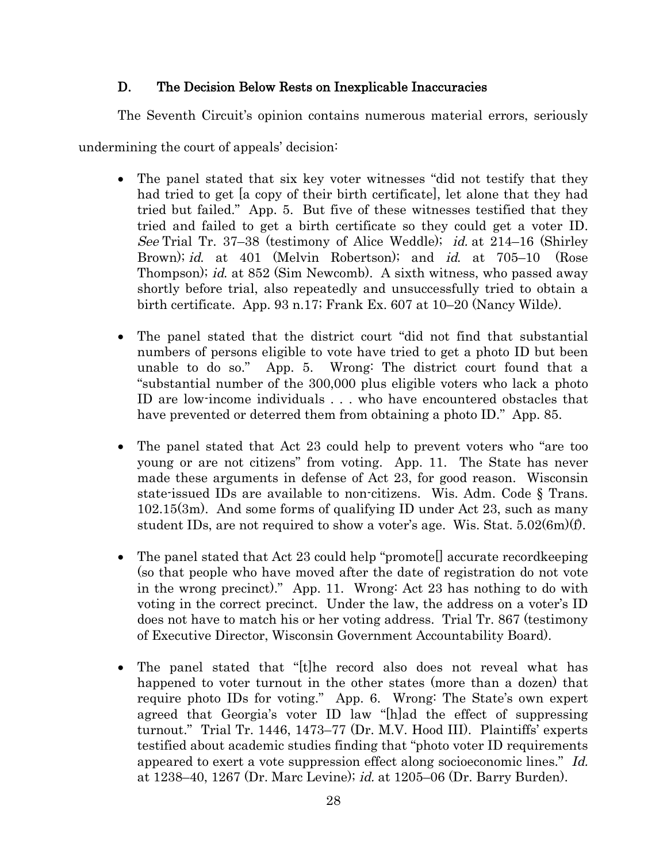### D. The Decision Below Rests on Inexplicable Inaccuracies

The Seventh Circuit's opinion contains numerous material errors, seriously

undermining the court of appeals' decision:

- The panel stated that six key voter witnesses "did not testify that they had tried to get [a copy of their birth certificate], let alone that they had tried but failed." App. 5. But five of these witnesses testified that they tried and failed to get a birth certificate so they could get a voter ID. See Trial Tr. 37–38 (testimony of Alice Weddle); id. at 214–16 (Shirley Brown); id. at 401 (Melvin Robertson); and id. at 705–10 (Rose Thompson); id. at 852 (Sim Newcomb). A sixth witness, who passed away shortly before trial, also repeatedly and unsuccessfully tried to obtain a birth certificate. App. 93 n.17; Frank Ex. 607 at 10–20 (Nancy Wilde).
- The panel stated that the district court "did not find that substantial numbers of persons eligible to vote have tried to get a photo ID but been unable to do so." App. 5. Wrong: The district court found that a "substantial number of the 300,000 plus eligible voters who lack a photo ID are low-income individuals . . . who have encountered obstacles that have prevented or deterred them from obtaining a photo ID." App. 85.
- The panel stated that Act 23 could help to prevent voters who "are too young or are not citizens" from voting. App. 11. The State has never made these arguments in defense of Act 23, for good reason. Wisconsin state-issued IDs are available to non-citizens. Wis. Adm. Code § Trans. 102.15(3m). And some forms of qualifying ID under Act 23, such as many student IDs, are not required to show a voter's age. Wis. Stat. 5.02(6m)(f).
- The panel stated that Act 23 could help "promote<sup>[]</sup> accurate recordkeeping (so that people who have moved after the date of registration do not vote in the wrong precinct)." App. 11. Wrong: Act 23 has nothing to do with voting in the correct precinct. Under the law, the address on a voter's ID does not have to match his or her voting address. Trial Tr. 867 (testimony of Executive Director, Wisconsin Government Accountability Board).
- The panel stated that "[t]he record also does not reveal what has happened to voter turnout in the other states (more than a dozen) that require photo IDs for voting." App. 6. Wrong: The State's own expert agreed that Georgia's voter ID law "[h]ad the effect of suppressing turnout." Trial Tr. 1446, 1473–77 (Dr. M.V. Hood III). Plaintiffs' experts testified about academic studies finding that "photo voter ID requirements appeared to exert a vote suppression effect along socioeconomic lines." Id. at 1238–40, 1267 (Dr. Marc Levine); id. at 1205–06 (Dr. Barry Burden).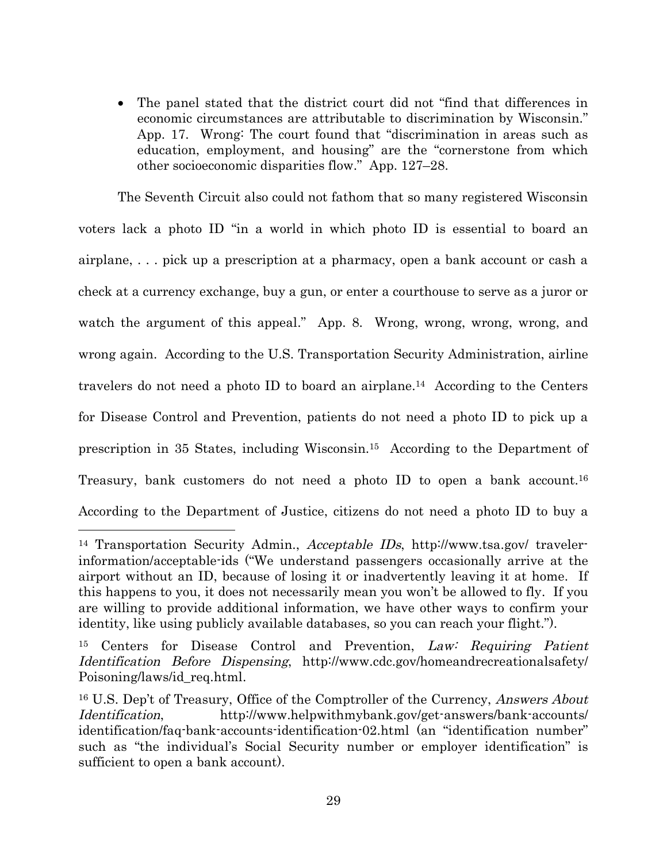The panel stated that the district court did not "find that differences in economic circumstances are attributable to discrimination by Wisconsin." App. 17. Wrong: The court found that "discrimination in areas such as education, employment, and housing" are the "cornerstone from which other socioeconomic disparities flow." App. 127–28.

The Seventh Circuit also could not fathom that so many registered Wisconsin voters lack a photo ID "in a world in which photo ID is essential to board an airplane, . . . pick up a prescription at a pharmacy, open a bank account or cash a check at a currency exchange, buy a gun, or enter a courthouse to serve as a juror or watch the argument of this appeal." App. 8. Wrong, wrong, wrong, wrong, and wrong again. According to the U.S. Transportation Security Administration, airline travelers do not need a photo ID to board an airplane.<sup>14</sup> According to the Centers for Disease Control and Prevention, patients do not need a photo ID to pick up a prescription in 35 States, including Wisconsin.<sup>15</sup> According to the Department of Treasury, bank customers do not need a photo ID to open a bank account.<sup>16</sup> According to the Department of Justice, citizens do not need a photo ID to buy a

<sup>14</sup> Transportation Security Admin., Acceptable IDs, http://www.tsa.gov/ travelerinformation/acceptable-ids ("We understand passengers occasionally arrive at the airport without an ID, because of losing it or inadvertently leaving it at home. If this happens to you, it does not necessarily mean you won't be allowed to fly. If you are willing to provide additional information, we have other ways to confirm your identity, like using publicly available databases, so you can reach your flight.").

<sup>&</sup>lt;sup>15</sup> Centers for Disease Control and Prevention, Law: Requiring Patient Identification Before Dispensing, http://www.cdc.gov/homeandrecreationalsafety/ Poisoning/laws/id\_req.html.

<sup>&</sup>lt;sup>16</sup> U.S. Dep't of Treasury, Office of the Comptroller of the Currency, Answers About Identification, http://www.helpwithmybank.gov/get-answers/bank-accounts/ identification/faq-bank-accounts-identification-02.html (an "identification number" such as "the individual's Social Security number or employer identification" is sufficient to open a bank account).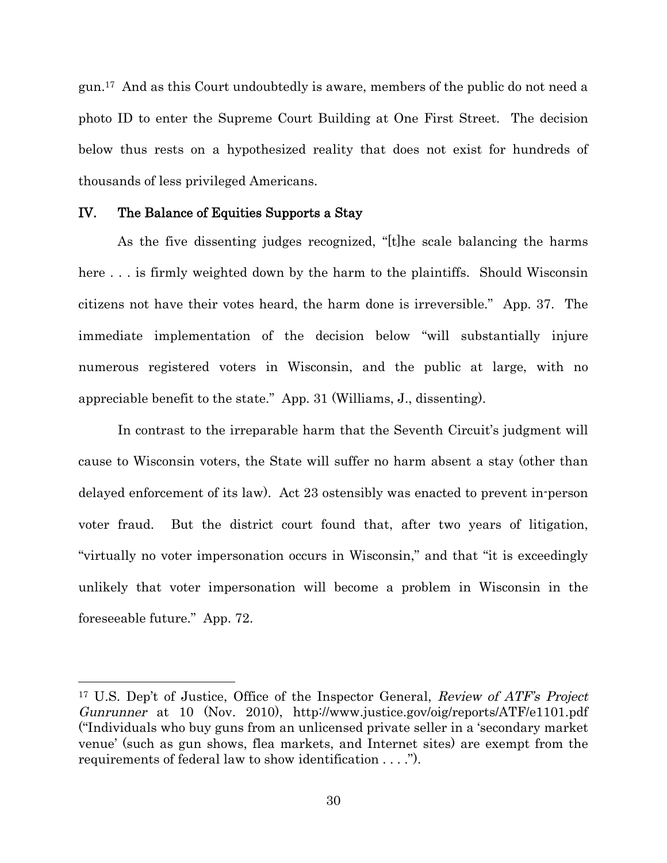gun.<sup>17</sup> And as this Court undoubtedly is aware, members of the public do not need a photo ID to enter the Supreme Court Building at One First Street. The decision below thus rests on a hypothesized reality that does not exist for hundreds of thousands of less privileged Americans.

#### IV. The Balance of Equities Supports a Stay

As the five dissenting judges recognized, "[t]he scale balancing the harms here ... is firmly weighted down by the harm to the plaintiffs. Should Wisconsin citizens not have their votes heard, the harm done is irreversible." App. 37. The immediate implementation of the decision below "will substantially injure numerous registered voters in Wisconsin, and the public at large, with no appreciable benefit to the state." App. 31 (Williams, J., dissenting).

In contrast to the irreparable harm that the Seventh Circuit's judgment will cause to Wisconsin voters, the State will suffer no harm absent a stay (other than delayed enforcement of its law). Act 23 ostensibly was enacted to prevent in-person voter fraud. But the district court found that, after two years of litigation, "virtually no voter impersonation occurs in Wisconsin," and that "it is exceedingly unlikely that voter impersonation will become a problem in Wisconsin in the foreseeable future." App. 72.

<sup>&</sup>lt;sup>17</sup> U.S. Dep't of Justice, Office of the Inspector General, Review of ATF's Project Gunrunner at 10 (Nov. 2010), http://www.justice.gov/oig/reports/ATF/e1101.pdf ("Individuals who buy guns from an unlicensed private seller in a 'secondary market venue' (such as gun shows, flea markets, and Internet sites) are exempt from the requirements of federal law to show identification . . . .").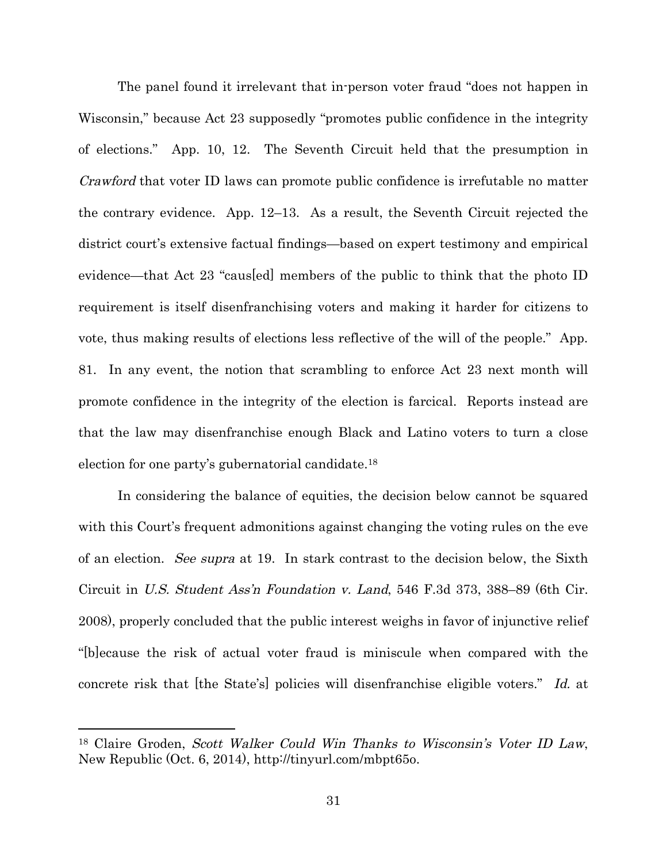The panel found it irrelevant that in-person voter fraud "does not happen in Wisconsin," because Act 23 supposedly "promotes public confidence in the integrity of elections." App. 10, 12. The Seventh Circuit held that the presumption in Crawford that voter ID laws can promote public confidence is irrefutable no matter the contrary evidence. App. 12–13. As a result, the Seventh Circuit rejected the district court's extensive factual findings—based on expert testimony and empirical evidence—that Act 23 "caus[ed] members of the public to think that the photo ID requirement is itself disenfranchising voters and making it harder for citizens to vote, thus making results of elections less reflective of the will of the people." App. 81. In any event, the notion that scrambling to enforce Act 23 next month will promote confidence in the integrity of the election is farcical. Reports instead are that the law may disenfranchise enough Black and Latino voters to turn a close election for one party's gubernatorial candidate.<sup>18</sup>

In considering the balance of equities, the decision below cannot be squared with this Court's frequent admonitions against changing the voting rules on the eve of an election. See supra at 19. In stark contrast to the decision below, the Sixth Circuit in U.S. Student Ass'n Foundation v. Land, 546 F.3d 373, 388–89 (6th Cir. 2008), properly concluded that the public interest weighs in favor of injunctive relief "[b]ecause the risk of actual voter fraud is miniscule when compared with the concrete risk that [the State's] policies will disenfranchise eligible voters." Id. at

<sup>18</sup> Claire Groden, Scott Walker Could Win Thanks to Wisconsin's Voter ID Law, New Republic (Oct. 6, 2014), http://tinyurl.com/mbpt65o.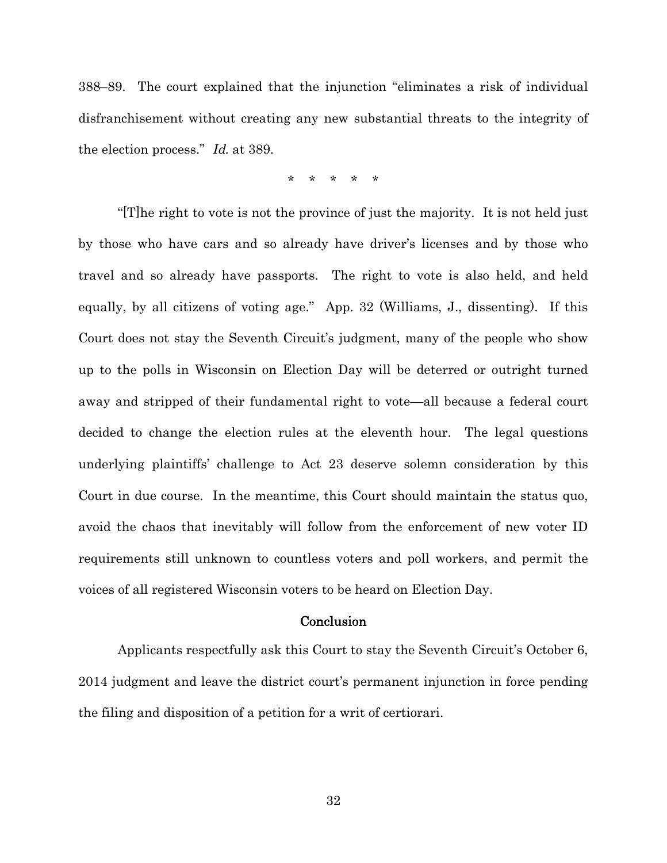388–89. The court explained that the injunction "eliminates a risk of individual disfranchisement without creating any new substantial threats to the integrity of the election process." Id. at 389.

\* \* \* \* \*

"[T]he right to vote is not the province of just the majority. It is not held just by those who have cars and so already have driver's licenses and by those who travel and so already have passports. The right to vote is also held, and held equally, by all citizens of voting age." App. 32 (Williams, J., dissenting). If this Court does not stay the Seventh Circuit's judgment, many of the people who show up to the polls in Wisconsin on Election Day will be deterred or outright turned away and stripped of their fundamental right to vote—all because a federal court decided to change the election rules at the eleventh hour. The legal questions underlying plaintiffs' challenge to Act 23 deserve solemn consideration by this Court in due course. In the meantime, this Court should maintain the status quo, avoid the chaos that inevitably will follow from the enforcement of new voter ID requirements still unknown to countless voters and poll workers, and permit the voices of all registered Wisconsin voters to be heard on Election Day.

#### Conclusion

Applicants respectfully ask this Court to stay the Seventh Circuit's October 6, 2014 judgment and leave the district court's permanent injunction in force pending the filing and disposition of a petition for a writ of certiorari.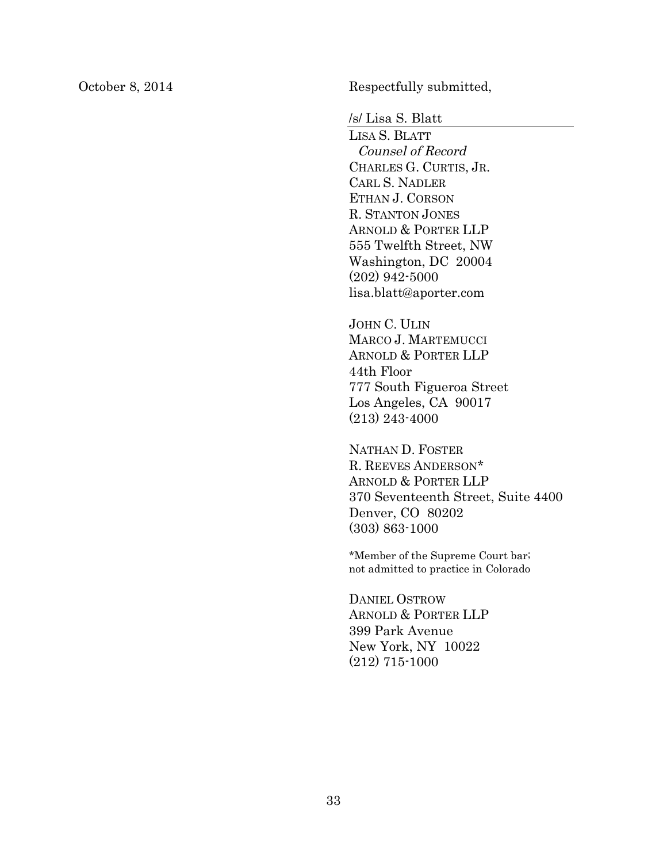October 8, 2014 Respectfully submitted,

/s/ Lisa S. Blatt

LISA S. BLATT Counsel of Record CHARLES G. CURTIS, JR. CARL S. NADLER ETHAN J. CORSON R. STANTON JONES ARNOLD & PORTER LLP 555 Twelfth Street, NW Washington, DC 20004 (202) 942-5000 lisa.blatt@aporter.com

JOHN C. ULIN MARCO J. MARTEMUCCI ARNOLD & PORTER LLP 44th Floor 777 South Figueroa Street Los Angeles, CA 90017 (213) 243-4000

NATHAN D. FOSTER R. REEVES ANDERSON\* ARNOLD & PORTER LLP 370 Seventeenth Street, Suite 4400 Denver, CO 80202 (303) 863-1000

\*Member of the Supreme Court bar; not admitted to practice in Colorado

DANIEL OSTROW ARNOLD & PORTER LLP 399 Park Avenue New York, NY 10022 (212) 715-1000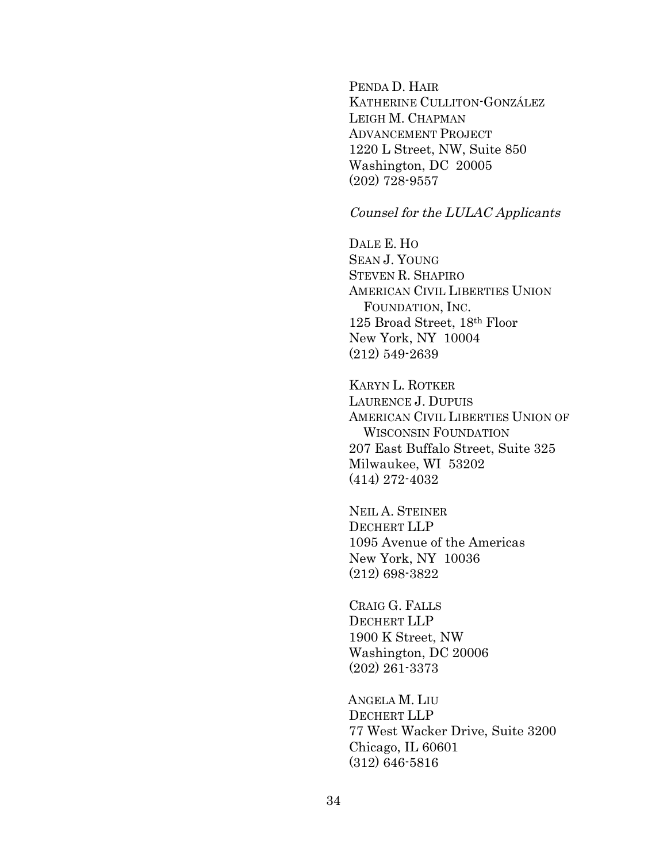PENDA D. HAIR KATHERINE CULLITON-GONZÁLEZ LEIGH M. CHAPMAN ADVANCEMENT PROJECT 1220 L Street, NW, Suite 850 Washington, DC 20005 (202) 728-9557

#### Counsel for the LULAC Applicants

DALE E. HO SEAN J. YOUNG STEVEN R. SHAPIRO AMERICAN CIVIL LIBERTIES UNION FOUNDATION, INC. 125 Broad Street, 18th Floor New York, NY 10004 (212) 549-2639

KARYN L. ROTKER LAURENCE J. DUPUIS AMERICAN CIVIL LIBERTIES UNION OF WISCONSIN FOUNDATION 207 East Buffalo Street, Suite 325 Milwaukee, WI 53202 (414) 272-4032

NEIL A. STEINER DECHERT LLP 1095 Avenue of the Americas New York, NY 10036 (212) 698-3822

CRAIG G. FALLS DECHERT LLP 1900 K Street, NW Washington, DC 20006 (202) 261-3373

ANGELA M. LIU DECHERT LLP 77 West Wacker Drive, Suite 3200 Chicago, IL 60601 (312) 646-5816